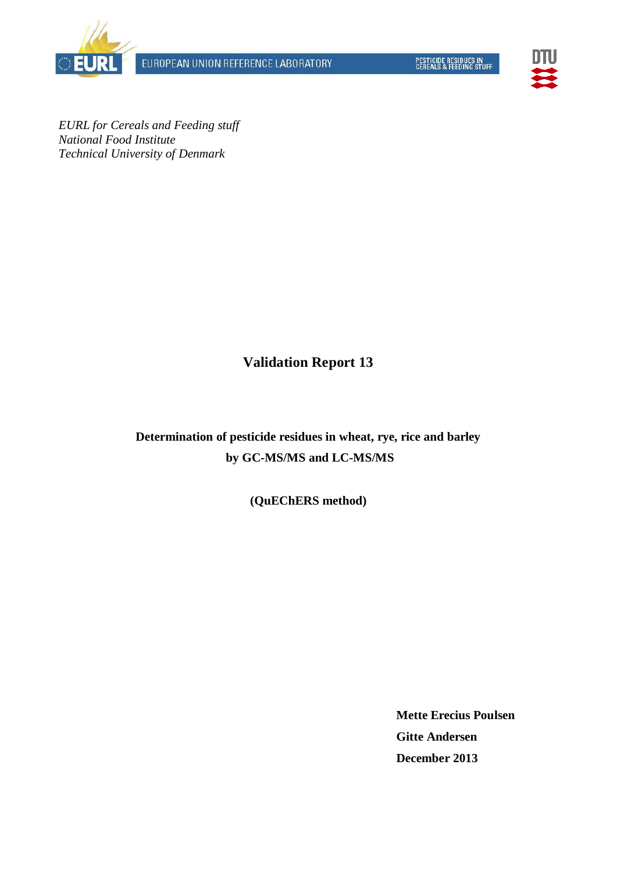EUROPEAN UNION REFERENCE LABORATORY





*EURL for Cereals and Feeding stuff National Food Institute Technical University of Denmark*

**Validation Report 13**

**Determination of pesticide residues in wheat, rye, rice and barley by GC-MS/MS and LC-MS/MS**

**(QuEChERS method)**

**Mette Erecius Poulsen Gitte Andersen December 2013**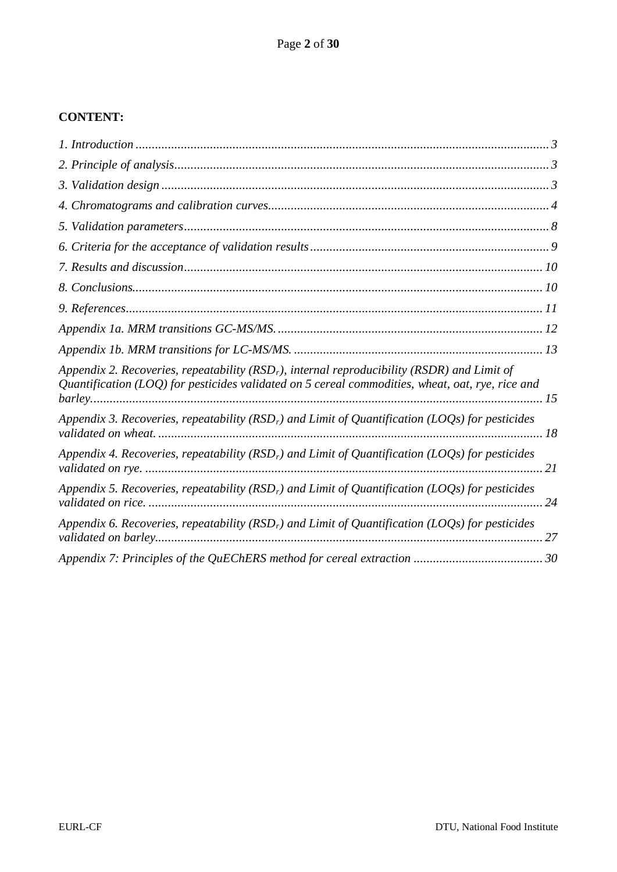## **CONTENT:**

| Appendix 2. Recoveries, repeatability ( $RSDr$ ), internal reproducibility ( $RSDR$ ) and Limit of<br>Quantification (LOQ) for pesticides validated on 5 cereal commodities, wheat, oat, rye, rice and |
|--------------------------------------------------------------------------------------------------------------------------------------------------------------------------------------------------------|
| Appendix 3. Recoveries, repeatability ( $RSDr$ ) and Limit of Quantification (LOQs) for pesticides                                                                                                     |
| Appendix 4. Recoveries, repeatability ( $RSDr$ ) and Limit of Quantification (LOQs) for pesticides                                                                                                     |
| Appendix 5. Recoveries, repeatability ( $RSDr$ ) and Limit of Quantification (LOQs) for pesticides                                                                                                     |
| Appendix 6. Recoveries, repeatability ( $RSDr$ ) and Limit of Quantification (LOQs) for pesticides                                                                                                     |
|                                                                                                                                                                                                        |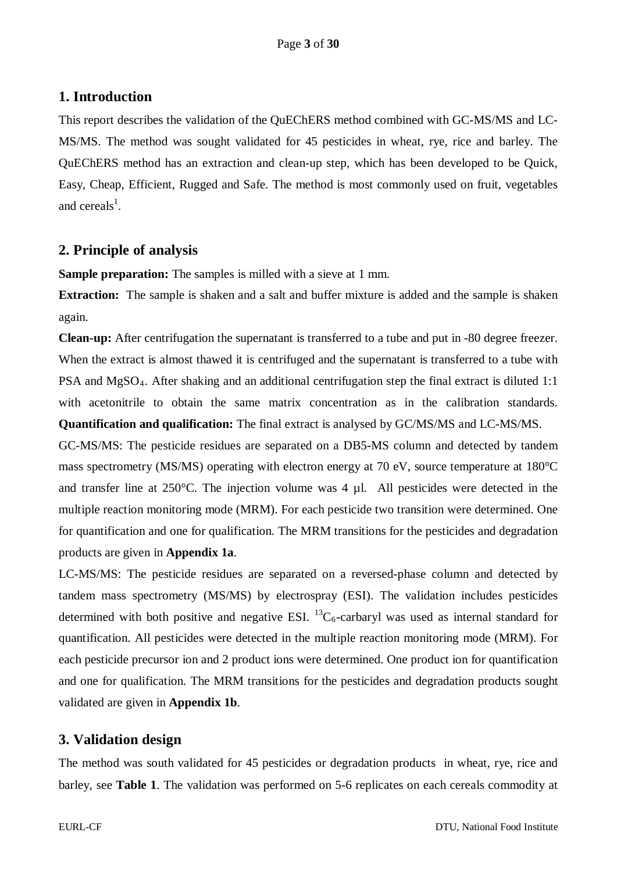## <span id="page-2-0"></span>**1. Introduction**

This report describes the validation of the QuEChERS method combined with GC-MS/MS and LC-MS/MS. The method was sought validated for 45 pesticides in wheat, rye, rice and barley. The QuEChERS method has an extraction and clean-up step, which has been developed to be Quick, Easy, Cheap, Efficient, Rugged and Safe. The method is most commonly used on fruit, vegetables and cereals<sup>1</sup>.

## <span id="page-2-1"></span>**2. Principle of analysis**

**Sample preparation:** The samples is milled with a sieve at 1 mm.

**Extraction:** The sample is shaken and a salt and buffer mixture is added and the sample is shaken again.

**Clean-up:** After centrifugation the supernatant is transferred to a tube and put in -80 degree freezer. When the extract is almost thawed it is centrifuged and the supernatant is transferred to a tube with PSA and  $MgSO<sub>4</sub>$ . After shaking and an additional centrifugation step the final extract is diluted 1:1 with acetonitrile to obtain the same matrix concentration as in the calibration standards. **Quantification and qualification:** The final extract is analysed by GC/MS/MS and LC-MS/MS.

GC-MS/MS: The pesticide residues are separated on a DB5-MS column and detected by tandem mass spectrometry (MS/MS) operating with electron energy at 70 eV, source temperature at 180°C and transfer line at 250°C. The injection volume was 4 µl. All pesticides were detected in the multiple reaction monitoring mode (MRM). For each pesticide two transition were determined. One for quantification and one for qualification. The MRM transitions for the pesticides and degradation products are given in **Appendix 1a**.

LC-MS/MS: The pesticide residues are separated on a reversed-phase column and detected by tandem mass spectrometry (MS/MS) by electrospray (ESI). The validation includes pesticides determined with both positive and negative ESI.  ${}^{13}C_6$ -carbaryl was used as internal standard for quantification. All pesticides were detected in the multiple reaction monitoring mode (MRM). For each pesticide precursor ion and 2 product ions were determined. One product ion for quantification and one for qualification. The MRM transitions for the pesticides and degradation products sought validated are given in **Appendix 1b**.

## <span id="page-2-2"></span>**3. Validation design**

The method was south validated for 45 pesticides or degradation products in wheat, rye, rice and barley, see **Table 1**. The validation was performed on 5-6 replicates on each cereals commodity at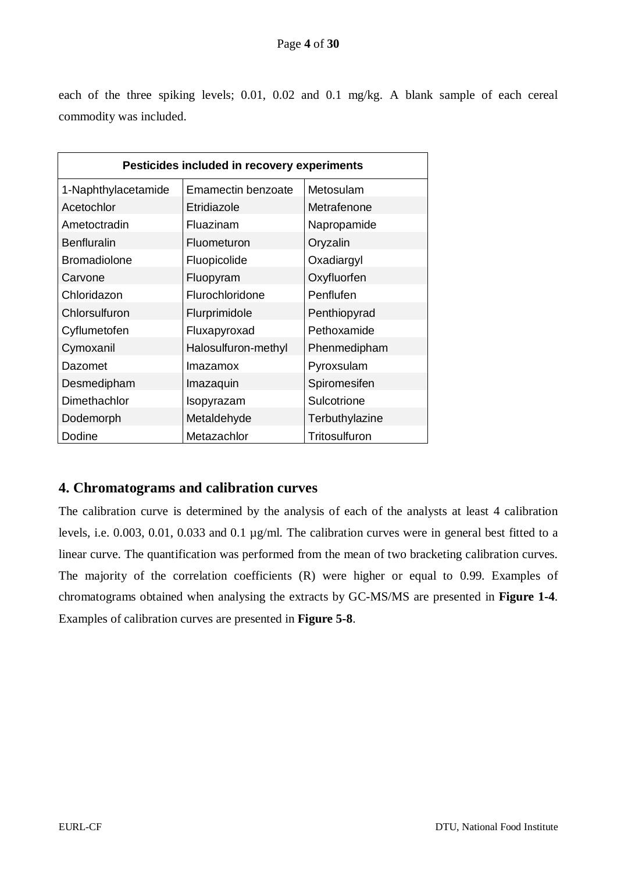each of the three spiking levels; 0.01, 0.02 and 0.1 mg/kg. A blank sample of each cereal commodity was included.

|                                        | Pesticides included in recovery experiments |                |  |  |  |  |  |  |  |  |  |
|----------------------------------------|---------------------------------------------|----------------|--|--|--|--|--|--|--|--|--|
| 1-Naphthylacetamide                    | Emamectin benzoate                          | Metosulam      |  |  |  |  |  |  |  |  |  |
| Acetochlor                             | Etridiazole                                 | Metrafenone    |  |  |  |  |  |  |  |  |  |
| Ametoctradin                           | Fluazinam                                   | Napropamide    |  |  |  |  |  |  |  |  |  |
| <b>Benfluralin</b>                     | Fluometuron                                 | Oryzalin       |  |  |  |  |  |  |  |  |  |
| <b>Bromadiolone</b>                    | Fluopicolide                                | Oxadiargyl     |  |  |  |  |  |  |  |  |  |
| Carvone                                | Fluopyram                                   | Oxyfluorfen    |  |  |  |  |  |  |  |  |  |
| Chloridazon                            | Flurochloridone                             | Penflufen      |  |  |  |  |  |  |  |  |  |
| Chlorsulfuron                          | Flurprimidole                               | Penthiopyrad   |  |  |  |  |  |  |  |  |  |
| Cyflumetofen                           | Fluxapyroxad                                | Pethoxamide    |  |  |  |  |  |  |  |  |  |
| Cymoxanil                              | Halosulfuron-methyl                         | Phenmedipham   |  |  |  |  |  |  |  |  |  |
| Dazomet                                | Imazamox                                    | Pyroxsulam     |  |  |  |  |  |  |  |  |  |
| Desmedipham                            | Imazaquin                                   | Spiromesifen   |  |  |  |  |  |  |  |  |  |
| Dimethachlor                           | Isopyrazam                                  | Sulcotrione    |  |  |  |  |  |  |  |  |  |
| Dodemorph                              | Metaldehyde                                 | Terbuthylazine |  |  |  |  |  |  |  |  |  |
| Dodine<br>Metazachlor<br>Tritosulfuron |                                             |                |  |  |  |  |  |  |  |  |  |

## <span id="page-3-0"></span>**4. Chromatograms and calibration curves**

The calibration curve is determined by the analysis of each of the analysts at least 4 calibration levels, i.e. 0.003, 0.01, 0.033 and 0.1 µg/ml. The calibration curves were in general best fitted to a linear curve. The quantification was performed from the mean of two bracketing calibration curves. The majority of the correlation coefficients (R) were higher or equal to 0.99. Examples of chromatograms obtained when analysing the extracts by GC-MS/MS are presented in **Figure 1-4**. Examples of calibration curves are presented in **Figure 5-8**.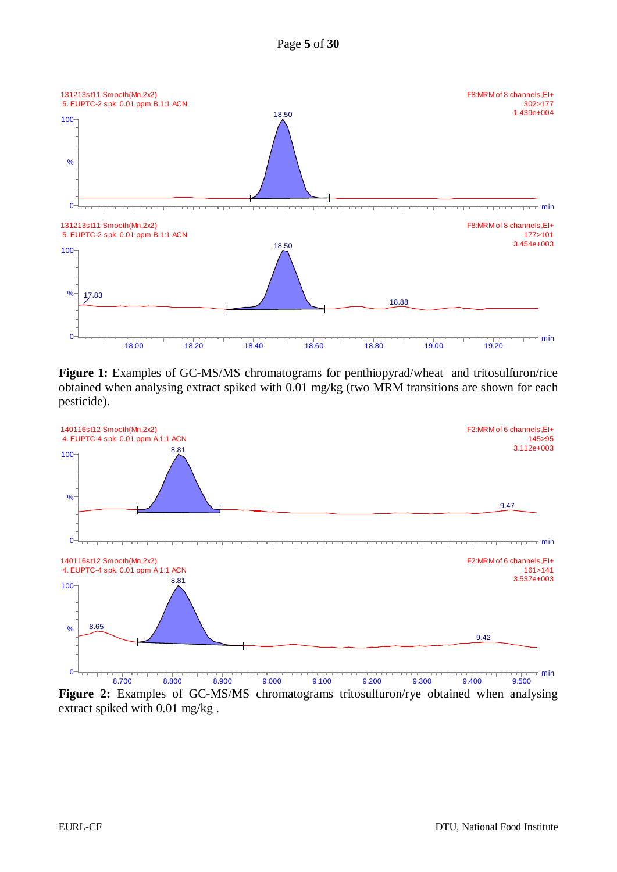



**Figure 1:** Examples of GC-MS/MS chromatograms for penthiopyrad/wheat and tritosulfuron/rice obtained when analysing extract spiked with 0.01 mg/kg (two MRM transitions are shown for each pesticide).



**Figure 2:** Examples of GC-MS/MS chromatograms tritosulfuron/rye obtained when analysing extract spiked with 0.01 mg/kg .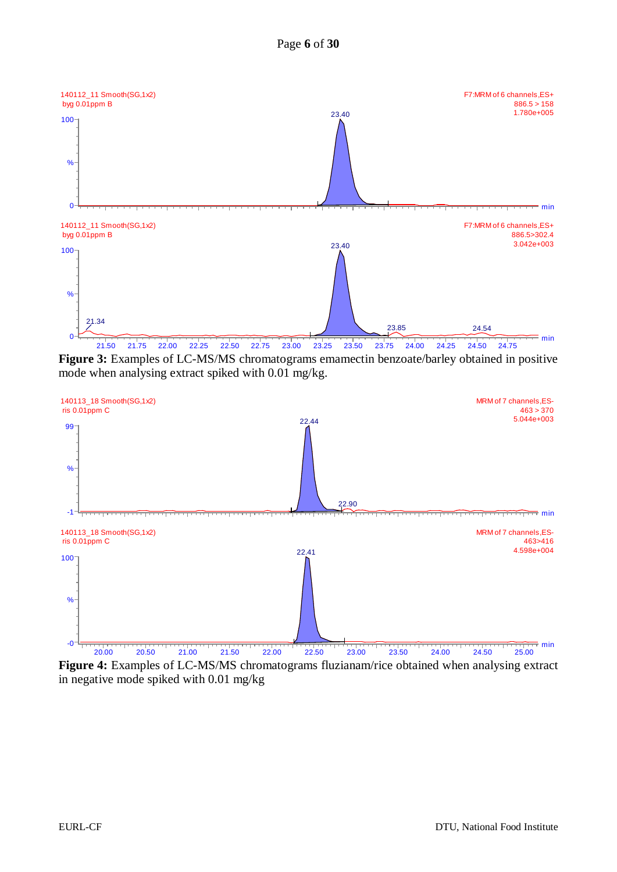



**Figure 3:** Examples of LC-MS/MS chromatograms emamectin benzoate/barley obtained in positive mode when analysing extract spiked with 0.01 mg/kg.



**Figure 4:** Examples of LC-MS/MS chromatograms fluzianam/rice obtained when analysing extract in negative mode spiked with 0.01 mg/kg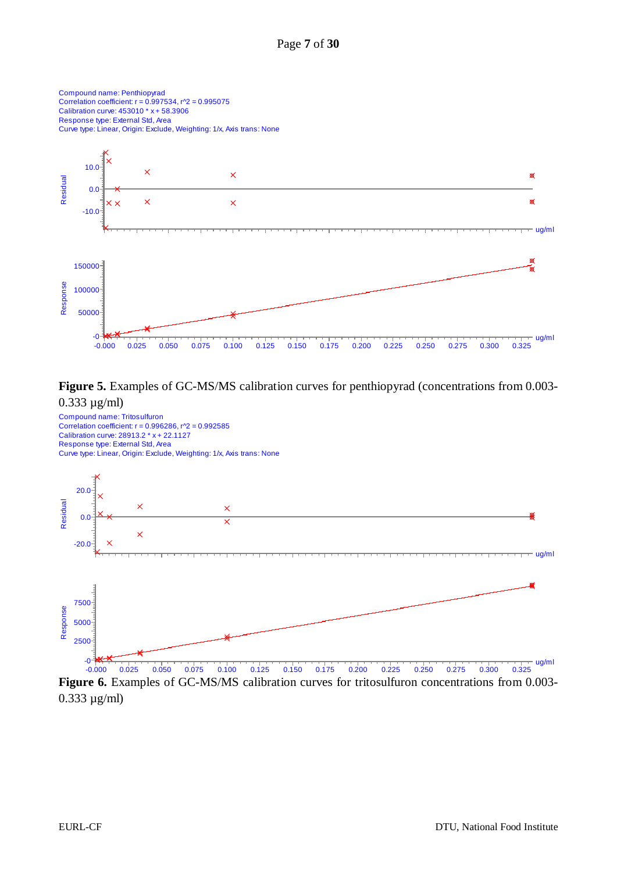

#### **Figure 5.** Examples of GC-MS/MS calibration curves for penthiopyrad (concentrations from 0.003- 0.333 µg/ml)



**Figure 6.** Examples of GC-MS/MS calibration curves for tritosulfuron concentrations from 0.003- 0.333 µg/ml)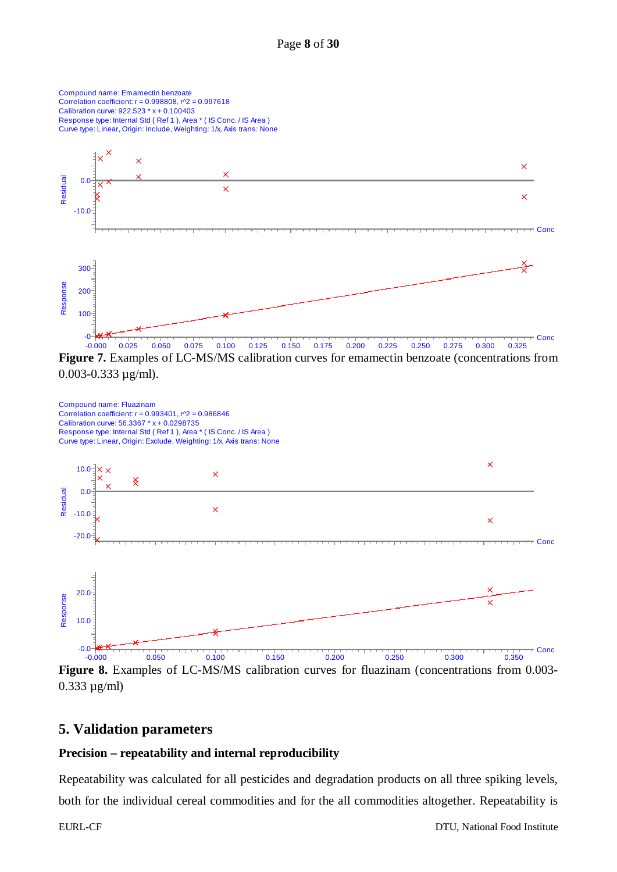

 $0.003 - 0.333 \mu$ g/ml).



**Figure 8.** Examples of LC-MS/MS calibration curves for fluazinam (concentrations from 0.003- 0.333 µg/ml)

#### <span id="page-7-0"></span>**5. Validation parameters**

#### **Precision – repeatability and internal reproducibility**

Repeatability was calculated for all pesticides and degradation products on all three spiking levels, both for the individual cereal commodities and for the all commodities altogether. Repeatability is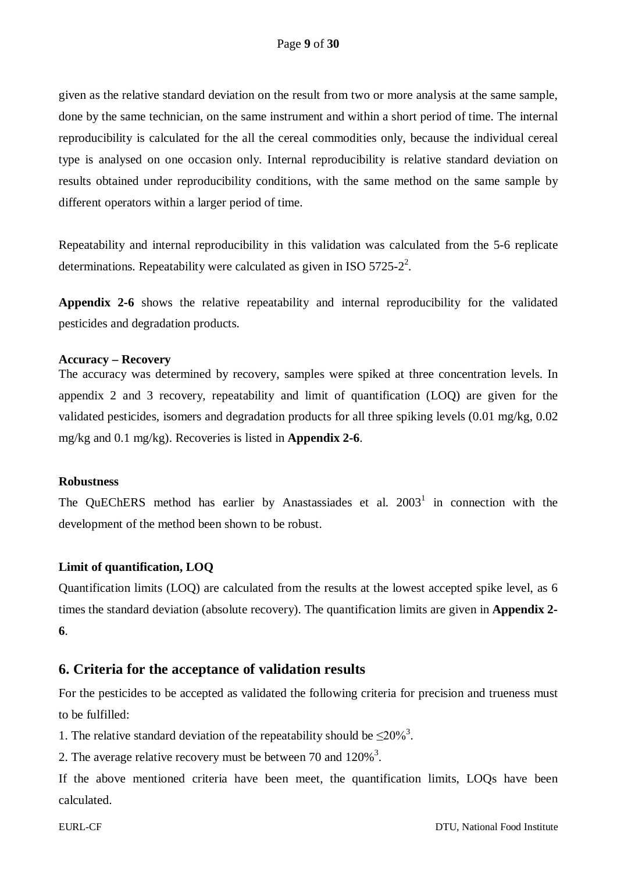given as the relative standard deviation on the result from two or more analysis at the same sample, done by the same technician, on the same instrument and within a short period of time. The internal reproducibility is calculated for the all the cereal commodities only, because the individual cereal type is analysed on one occasion only. Internal reproducibility is relative standard deviation on results obtained under reproducibility conditions, with the same method on the same sample by different operators within a larger period of time.

Repeatability and internal reproducibility in this validation was calculated from the 5-6 replicate determinations. Repeatability were calculated as given in ISO  $5725-2^2$ .

**Appendix 2-6** shows the relative repeatability and internal reproducibility for the validated pesticides and degradation products.

#### **Accuracy – Recovery**

The accuracy was determined by recovery, samples were spiked at three concentration levels. In appendix 2 and 3 recovery, repeatability and limit of quantification (LOQ) are given for the validated pesticides, isomers and degradation products for all three spiking levels (0.01 mg/kg, 0.02 mg/kg and 0.1 mg/kg). Recoveries is listed in **Appendix 2-6**.

#### **Robustness**

The QuEChERS method has earlier by Anastassiades et al.  $2003<sup>1</sup>$  in connection with the development of the method been shown to be robust.

#### **Limit of quantification, LOQ**

Quantification limits (LOQ) are calculated from the results at the lowest accepted spike level, as 6 times the standard deviation (absolute recovery). The quantification limits are given in **Appendix 2- 6**.

#### <span id="page-8-0"></span>**6. Criteria for the acceptance of validation results**

For the pesticides to be accepted as validated the following criteria for precision and trueness must to be fulfilled:

1. The relative standard deviation of the repeatability should be  $\leq 20\%$ <sup>3</sup>.

2. The average relative recovery must be between 70 and  $120\%$ <sup>3</sup>.

If the above mentioned criteria have been meet, the quantification limits, LOQs have been calculated.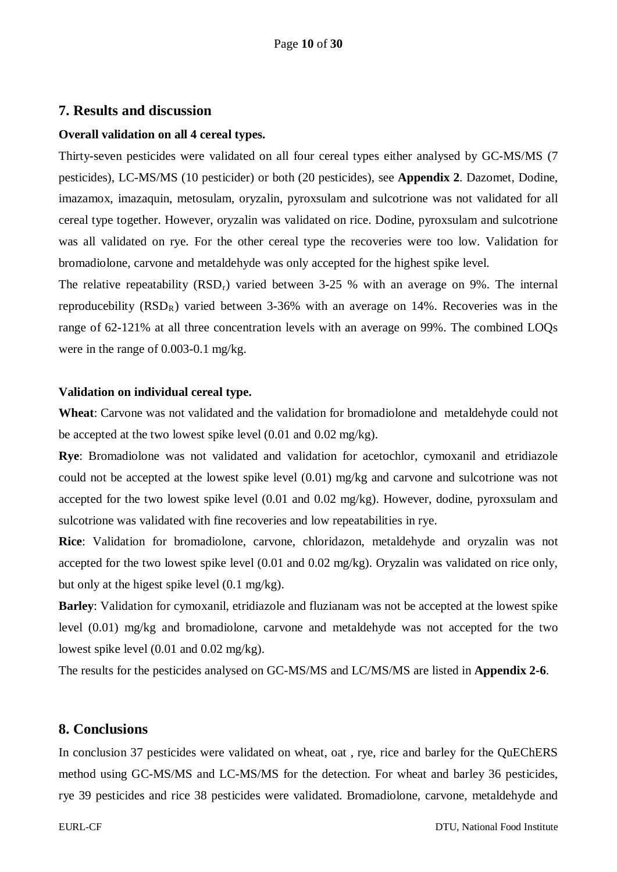#### <span id="page-9-0"></span>**7. Results and discussion**

#### **Overall validation on all 4 cereal types.**

Thirty-seven pesticides were validated on all four cereal types either analysed by GC-MS/MS (7 pesticides), LC-MS/MS (10 pesticider) or both (20 pesticides), see **Appendix 2**. Dazomet, Dodine, imazamox, imazaquin, metosulam, oryzalin, pyroxsulam and sulcotrione was not validated for all cereal type together. However, oryzalin was validated on rice. Dodine, pyroxsulam and sulcotrione was all validated on rye. For the other cereal type the recoveries were too low. Validation for bromadiolone, carvone and metaldehyde was only accepted for the highest spike level.

The relative repeatability  $(RSD_r)$  varied between 3-25 % with an average on 9%. The internal reproducebility  $(RSD<sub>R</sub>)$  varied between 3-36% with an average on 14%. Recoveries was in the range of 62-121% at all three concentration levels with an average on 99%. The combined LOQs were in the range of 0.003-0.1 mg/kg.

#### **Validation on individual cereal type.**

**Wheat**: Carvone was not validated and the validation for bromadiolone and metaldehyde could not be accepted at the two lowest spike level (0.01 and 0.02 mg/kg).

**Rye**: Bromadiolone was not validated and validation for acetochlor, cymoxanil and etridiazole could not be accepted at the lowest spike level (0.01) mg/kg and carvone and sulcotrione was not accepted for the two lowest spike level (0.01 and 0.02 mg/kg). However, dodine, pyroxsulam and sulcotrione was validated with fine recoveries and low repeatabilities in rye.

**Rice**: Validation for bromadiolone, carvone, chloridazon, metaldehyde and oryzalin was not accepted for the two lowest spike level (0.01 and 0.02 mg/kg). Oryzalin was validated on rice only, but only at the higest spike level (0.1 mg/kg).

**Barley**: Validation for cymoxanil, etridiazole and fluzianam was not be accepted at the lowest spike level (0.01) mg/kg and bromadiolone, carvone and metaldehyde was not accepted for the two lowest spike level (0.01 and 0.02 mg/kg).

The results for the pesticides analysed on GC-MS/MS and LC/MS/MS are listed in **Appendix 2-6**.

#### <span id="page-9-1"></span>**8. Conclusions**

In conclusion 37 pesticides were validated on wheat, oat , rye, rice and barley for the QuEChERS method using GC-MS/MS and LC-MS/MS for the detection. For wheat and barley 36 pesticides, rye 39 pesticides and rice 38 pesticides were validated. Bromadiolone, carvone, metaldehyde and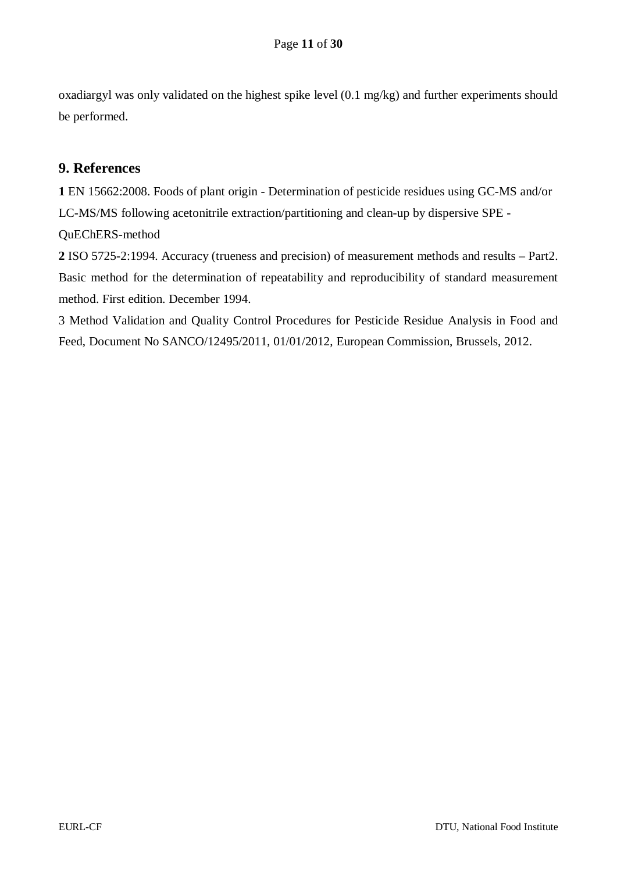oxadiargyl was only validated on the highest spike level (0.1 mg/kg) and further experiments should be performed.

## <span id="page-10-0"></span>**9. References**

**1** [EN 15662:2008.](javascript:__doPostBack() Foods of plant origin - Determination of pesticide residues using GC-MS and/or LC-MS/MS following acetonitrile extraction/partitioning and clean-up by dispersive SPE - QuEChERS-method

**2** ISO 5725-2:1994. Accuracy (trueness and precision) of measurement methods and results – Part2. Basic method for the determination of repeatability and reproducibility of standard measurement method. First edition. December 1994.

3 Method Validation and Quality Control Procedures for Pesticide Residue Analysis in Food and Feed, Document No SANCO/12495/2011, 01/01/2012, European Commission, Brussels, 2012.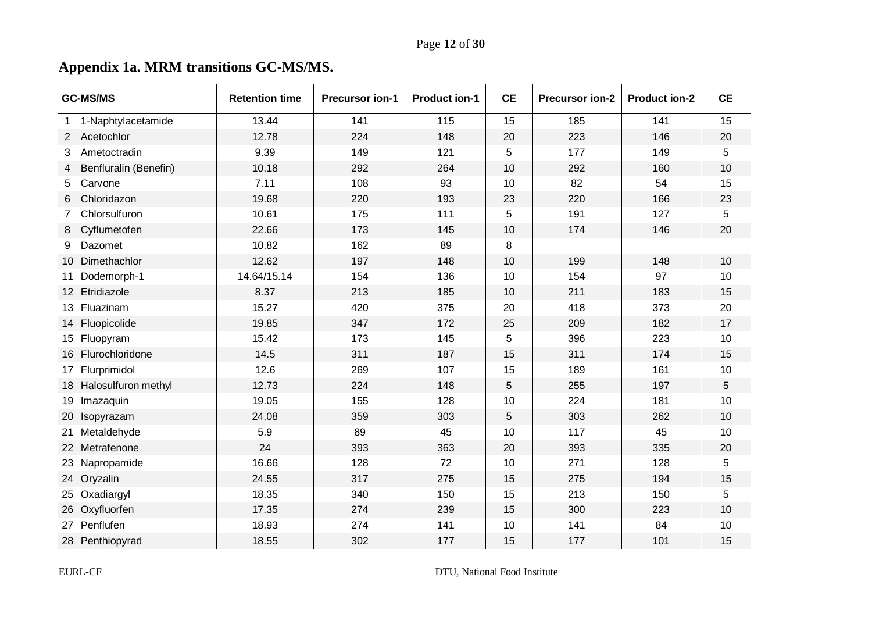# **Appendix 1a. MRM transitions GC-MS/MS.**

<span id="page-11-0"></span>

|                | <b>GC-MS/MS</b>       | <b>Retention time</b> | <b>Precursor ion-1</b> | <b>Product ion-1</b> | <b>CE</b> | <b>Precursor ion-2</b><br><b>Product ion-2</b> |     | <b>CE</b> |
|----------------|-----------------------|-----------------------|------------------------|----------------------|-----------|------------------------------------------------|-----|-----------|
| $\mathbf{1}$   | 1-Naphtylacetamide    | 13.44                 | 141                    | 115                  | 15        | 185                                            | 141 | 15        |
| $\overline{2}$ | Acetochlor            | 12.78                 | 224                    | 148                  | 20        | 223                                            | 146 | 20        |
| 3              | Ametoctradin          | 9.39                  | 149                    | 121                  | 5         | 177                                            | 149 | 5         |
| 4              | Benfluralin (Benefin) | 10.18                 | 292                    | 264                  | 10        | 292                                            | 160 | 10        |
| 5              | Carvone               | 7.11                  | 108                    | 93                   | 10        | 82                                             | 54  | 15        |
| 6              | Chloridazon           | 19.68                 | 220                    | 193                  | 23        | 220                                            | 166 | 23        |
| 7              | Chlorsulfuron         | 10.61                 | 175                    | 111                  | 5         | 191                                            | 127 | 5         |
| 8              | Cyflumetofen          | 22.66                 | 173                    | 145                  | 10        | 174                                            | 146 | 20        |
| 9              | Dazomet               | 10.82                 | 162                    | 89                   | 8         |                                                |     |           |
| 10             | Dimethachlor          | 12.62                 | 197                    | 148                  | 10        | 199                                            | 148 | 10        |
| 11             | Dodemorph-1           | 14.64/15.14           | 154                    | 136                  | 10        | 154                                            | 97  | 10        |
| 12             | Etridiazole           | 8.37                  | 213                    | 185                  | 10        | 211                                            | 183 | 15        |
| 13             | Fluazinam             | 15.27                 | 420                    | 375                  | 20        | 418                                            | 373 | 20        |
| 14             | Fluopicolide          | 19.85                 | 347                    | 172                  | 25        | 209                                            | 182 | 17        |
| 15             | Fluopyram             | 15.42                 | 173                    | 145                  | 5         | 396                                            | 223 | 10        |
| 16             | Flurochloridone       | 14.5                  | 311                    | 187                  | 15        | 311                                            | 174 | 15        |
| 17             | Flurprimidol          | 12.6                  | 269                    | 107                  | 15        | 189                                            | 161 | 10        |
| 18             | Halosulfuron methyl   | 12.73                 | 224                    | 148                  | 5         | 255                                            | 197 | 5         |
| 19             | Imazaquin             | 19.05                 | 155                    | 128                  | 10        | 224                                            | 181 | 10        |
| 20             | Isopyrazam            | 24.08                 | 359                    | 303                  | 5         | 303                                            | 262 | 10        |
| 21             | Metaldehyde           | 5.9                   | 89                     | 45                   | 10        | 117                                            | 45  | 10        |
| 22             | Metrafenone           | 24                    | 393                    | 363                  | 20        | 393                                            | 335 | 20        |
| 23             | Napropamide           | 16.66                 | 128                    | 72                   | 10        | 271                                            | 128 | 5         |
| 24             | Oryzalin              | 24.55                 | 317                    | 275                  | 15        | 275                                            | 194 | 15        |
| 25             | Oxadiargyl            | 18.35                 | 340                    | 150                  | 15        | 213                                            | 150 | 5         |
| 26             | Oxyfluorfen           | 17.35                 | 274                    | 239                  | 15        | 300                                            | 223 | 10        |
| 27             | Penflufen             | 18.93                 | 274                    | 141                  | 10        | 141                                            | 84  | 10        |
|                | 28 Penthiopyrad       | 18.55                 | 302                    | 177                  | 15        | 177                                            | 101 | 15        |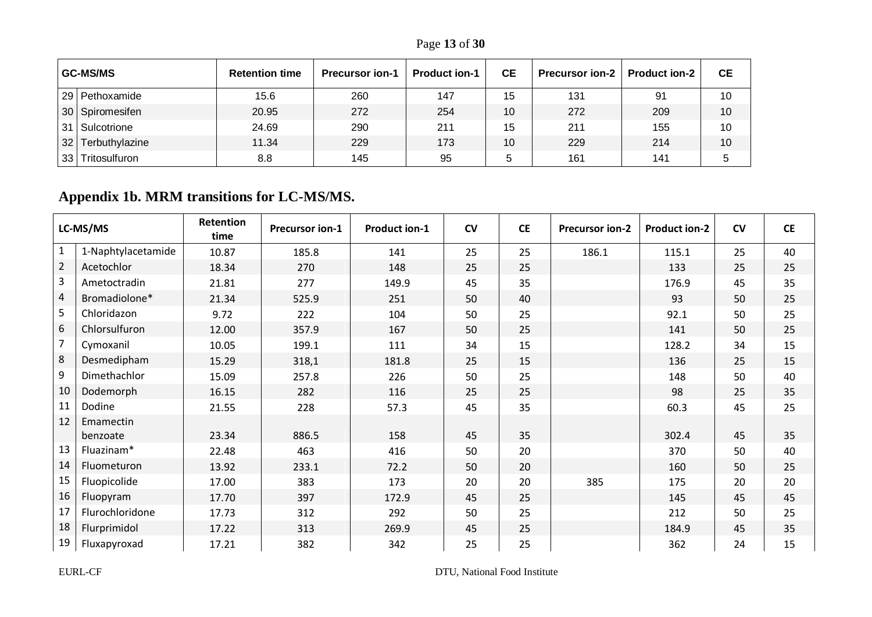Page **13** of **30**

|                 | <b>GC-MS/MS</b>  | <b>Retention time</b> | <b>Precursor ion-1</b> | <b>Product ion-1</b> | <b>CE</b> | <b>Precursor ion-2</b> | <b>Product ion-2</b> | <b>CE</b> |
|-----------------|------------------|-----------------------|------------------------|----------------------|-----------|------------------------|----------------------|-----------|
|                 | 29 Pethoxamide   | 15.6                  | 260                    | 147                  | 15        | 131                    | 91                   | 10        |
|                 | 30 Spiromesifen  | 20.95                 | 272                    | 254                  | 10        | 272                    | 209                  | 10        |
|                 | 31   Sulcotrione | 24.69                 | 290                    | 211                  | 15        | 211                    | 155                  | 10        |
| 32              | Terbuthylazine   | 11.34                 | 229                    | 173                  | 10        | 229                    | 214                  | 10        |
| 33 <sup>1</sup> | Tritosulfuron    | 8.8                   | 145                    | 95                   | .5        | 161                    | 141                  | :C        |

# **Appendix 1b. MRM transitions for LC-MS/MS.**

<span id="page-12-0"></span>

|                | LC-MS/MS              | Retention<br>time | <b>Precursor ion-1</b> | <b>Product ion-1</b> | CV | <b>CE</b> | <b>Precursor ion-2</b> | <b>Product ion-2</b> | CV | <b>CE</b> |
|----------------|-----------------------|-------------------|------------------------|----------------------|----|-----------|------------------------|----------------------|----|-----------|
| $\mathbf{1}$   | 1-Naphtylacetamide    | 10.87             | 185.8                  | 141                  | 25 | 25        | 186.1                  | 115.1                | 25 | 40        |
| $\overline{2}$ | Acetochlor            | 18.34             | 270                    | 148                  | 25 | 25        |                        | 133                  | 25 | 25        |
| $\overline{3}$ | Ametoctradin          | 21.81             | 277                    | 149.9                | 45 | 35        |                        | 176.9                | 45 | 35        |
| $\overline{4}$ | Bromadiolone*         | 21.34             | 525.9                  | 251                  | 50 | 40        |                        | 93                   | 50 | 25        |
| 5              | Chloridazon           | 9.72              | 222                    | 104                  | 50 | 25        |                        | 92.1                 | 50 | 25        |
| 6              | Chlorsulfuron         | 12.00             | 357.9                  | 167                  | 50 | 25        |                        | 141                  | 50 | 25        |
| $\overline{7}$ | Cymoxanil             | 10.05             | 199.1                  | 111                  | 34 | 15        |                        | 128.2                | 34 | 15        |
| 8              | Desmedipham           | 15.29             | 318,1                  | 181.8                | 25 | 15        |                        | 136                  | 25 | 15        |
| 9              | Dimethachlor          | 15.09             | 257.8                  | 226                  | 50 | 25        |                        | 148                  | 50 | 40        |
| 10             | Dodemorph             | 16.15             | 282                    | 116                  | 25 | 25        |                        | 98                   | 25 | 35        |
| 11             | Dodine                | 21.55             | 228                    | 57.3                 | 45 | 35        |                        | 60.3                 | 45 | 25        |
| 12             | Emamectin<br>benzoate | 23.34             | 886.5                  | 158                  | 45 | 35        |                        | 302.4                | 45 | 35        |
| 13             | Fluazinam*            | 22.48             | 463                    | 416                  | 50 | 20        |                        | 370                  | 50 | 40        |
| 14             | Fluometuron           | 13.92             | 233.1                  | 72.2                 | 50 | 20        |                        | 160                  | 50 | 25        |
| 15             | Fluopicolide          | 17.00             | 383                    | 173                  | 20 | 20        | 385                    | 175                  | 20 | 20        |
| 16             | Fluopyram             | 17.70             | 397                    | 172.9                | 45 | 25        |                        | 145                  | 45 | 45        |
| 17             | Flurochloridone       | 17.73             | 312                    | 292                  | 50 | 25        |                        | 212                  | 50 | 25        |
| 18             | Flurprimidol          | 17.22             | 313                    | 269.9                | 45 | 25        |                        | 184.9                | 45 | 35        |
| 19             | Fluxapyroxad          | 17.21             | 382                    | 342                  | 25 | 25        |                        | 362                  | 24 | 15        |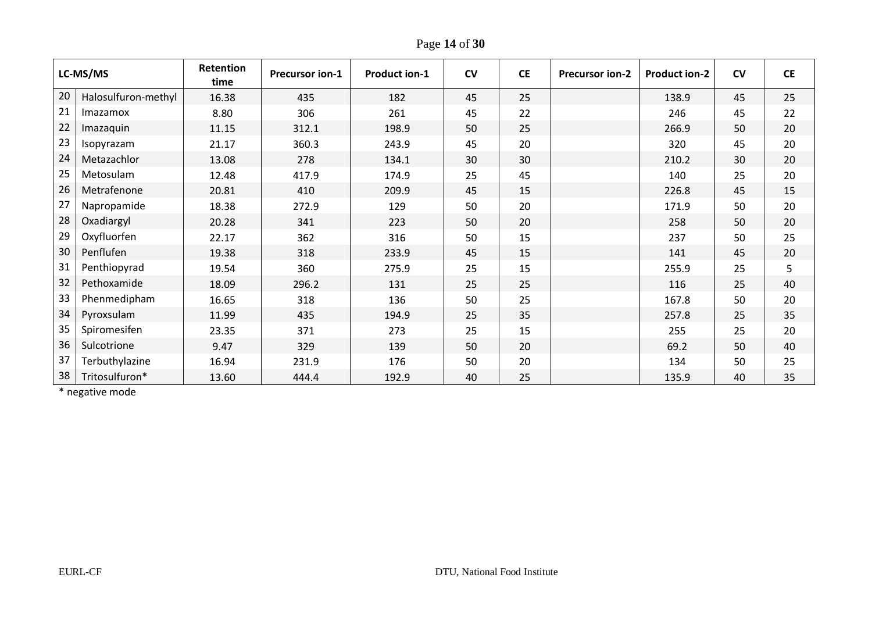Page **14** of **30**

| LC-MS/MS |                     | Retention<br>time | <b>Precursor ion-1</b> | <b>Product ion-1</b> | CV | <b>CE</b> | <b>Precursor ion-2</b> | <b>Product ion-2</b> | <b>CV</b> | <b>CE</b> |
|----------|---------------------|-------------------|------------------------|----------------------|----|-----------|------------------------|----------------------|-----------|-----------|
| 20       | Halosulfuron-methyl | 16.38             | 435                    | 182                  | 45 | 25        |                        | 138.9                | 45        | 25        |
| 21       | Imazamox            | 8.80              | 306                    | 261                  | 45 | 22        |                        | 246                  | 45        | 22        |
| 22       | Imazaquin           | 11.15             | 312.1                  | 198.9                | 50 | 25        |                        | 266.9                | 50        | 20        |
| 23       | Isopyrazam          | 21.17             | 360.3                  | 243.9                | 45 | 20        |                        | 320                  | 45        | 20        |
| 24       | Metazachlor         | 13.08             | 278                    | 134.1                | 30 | 30        |                        | 210.2                | 30        | 20        |
| 25       | Metosulam           | 12.48             | 417.9                  | 174.9                | 25 | 45        |                        | 140                  | 25        | 20        |
| 26       | Metrafenone         | 20.81             | 410                    | 209.9                | 45 | 15        |                        | 226.8                | 45        | 15        |
| 27       | Napropamide         | 18.38             | 272.9                  | 129                  | 50 | 20        |                        | 171.9                | 50        | 20        |
| 28       | Oxadiargyl          | 20.28             | 341                    | 223                  | 50 | 20        |                        | 258                  | 50        | 20        |
| 29       | Oxyfluorfen         | 22.17             | 362                    | 316                  | 50 | 15        |                        | 237                  | 50        | 25        |
| 30       | Penflufen           | 19.38             | 318                    | 233.9                | 45 | 15        |                        | 141                  | 45        | 20        |
| 31       | Penthiopyrad        | 19.54             | 360                    | 275.9                | 25 | 15        |                        | 255.9                | 25        | 5         |
| 32       | Pethoxamide         | 18.09             | 296.2                  | 131                  | 25 | 25        |                        | 116                  | 25        | 40        |
| 33       | Phenmedipham        | 16.65             | 318                    | 136                  | 50 | 25        |                        | 167.8                | 50        | 20        |
| 34       | Pyroxsulam          | 11.99             | 435                    | 194.9                | 25 | 35        |                        | 257.8                | 25        | 35        |
| 35       | Spiromesifen        | 23.35             | 371                    | 273                  | 25 | 15        |                        | 255                  | 25        | 20        |
| 36       | Sulcotrione         | 9.47              | 329                    | 139                  | 50 | 20        |                        | 69.2                 | 50        | 40        |
| 37       | Terbuthylazine      | 16.94             | 231.9                  | 176                  | 50 | 20        |                        | 134                  | 50        | 25        |
| 38       | Tritosulfuron*      | 13.60             | 444.4                  | 192.9                | 40 | 25        |                        | 135.9                | 40        | 35        |

\* negative mode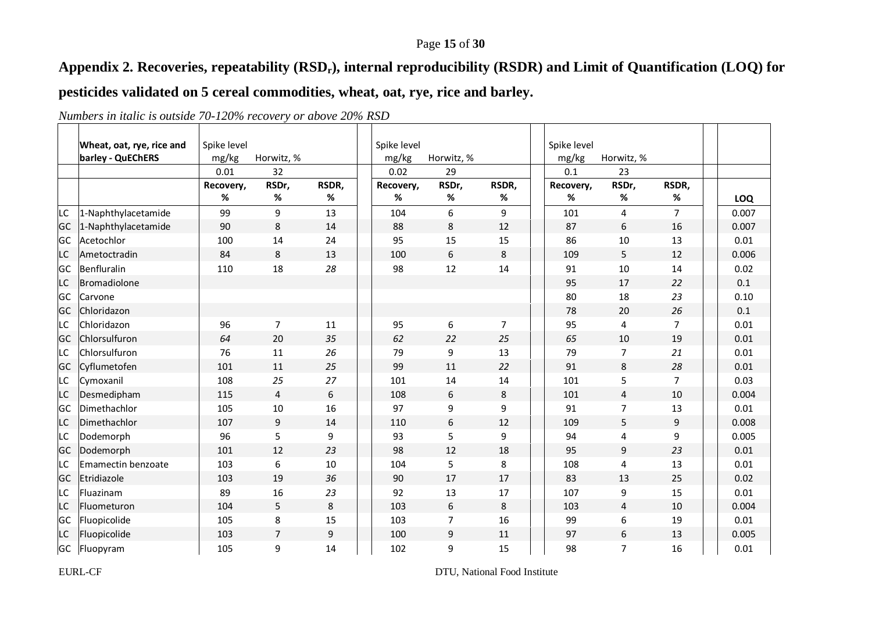### Page **15** of **30**

## **Appendix 2. Recoveries, repeatability (RSDr), internal reproducibility (RSDR) and Limit of Quantification (LOQ) for**

## **pesticides validated on 5 cereal commodities, wheat, oat, rye, rice and barley.**

<span id="page-14-0"></span>

|    | Wheat, oat, rye, rice and | Spike level |                |       | Spike level |                |                | Spike level |                  |                |            |
|----|---------------------------|-------------|----------------|-------|-------------|----------------|----------------|-------------|------------------|----------------|------------|
|    | barley - QuEChERS         | mg/kg       | Horwitz, %     |       | mg/kg       | Horwitz, %     |                | mg/kg       | Horwitz, %       |                |            |
|    |                           | 0.01        | 32             |       | 0.02        | 29             |                | 0.1         | 23               |                |            |
|    |                           | Recovery,   | RSDr,          | RSDR, | Recovery,   | RSDr,          | RSDR,          | Recovery,   | RSDr,            | RSDR,          |            |
|    |                           | %           | %              | %     | %           | $\%$           | %              | %           | %                | %              | <b>LOQ</b> |
| LC | 1-Naphthylacetamide       | 99          | 9              | 13    | 104         | 6              | 9              | 101         | 4                | $\overline{7}$ | 0.007      |
| GC | 1-Naphthylacetamide       | 90          | 8              | 14    | 88          | 8              | 12             | 87          | 6                | 16             | 0.007      |
| GC | Acetochlor                | 100         | 14             | 24    | 95          | 15             | 15             | 86          | 10               | 13             | 0.01       |
| LC | Ametoctradin              | 84          | 8              | 13    | 100         | 6              | 8              | 109         | 5                | 12             | 0.006      |
| GC | Benfluralin               | 110         | 18             | 28    | 98          | 12             | 14             | 91          | 10               | 14             | 0.02       |
| LC | Bromadiolone              |             |                |       |             |                |                | 95          | 17               | 22             | $0.1\,$    |
| GC | Carvone                   |             |                |       |             |                |                | 80          | 18               | 23             | 0.10       |
| GC | Chloridazon               |             |                |       |             |                |                | 78          | 20               | 26             | 0.1        |
| LС | Chloridazon               | 96          | 7              | 11    | 95          | 6              | $\overline{7}$ | 95          | 4                | $\overline{7}$ | 0.01       |
| GC | Chlorsulfuron             | 64          | 20             | 35    | 62          | 22             | 25             | 65          | 10               | 19             | 0.01       |
| LC | Chlorsulfuron             | 76          | 11             | 26    | 79          | 9              | 13             | 79          | 7                | 21             | 0.01       |
| GC | Cyflumetofen              | 101         | 11             | 25    | 99          | 11             | 22             | 91          | 8                | 28             | 0.01       |
| LC | Cymoxanil                 | 108         | 25             | 27    | 101         | 14             | 14             | 101         | 5                | $\overline{7}$ | 0.03       |
| LC | Desmedipham               | 115         | $\overline{4}$ | 6     | 108         | 6              | 8              | 101         | $\overline{4}$   | 10             | 0.004      |
| GC | Dimethachlor              | 105         | 10             | 16    | 97          | 9              | 9              | 91          | $\overline{7}$   | 13             | 0.01       |
| LC | Dimethachlor              | 107         | 9              | 14    | 110         | 6              | 12             | 109         | 5                | 9              | 0.008      |
| LC | Dodemorph                 | 96          | 5              | 9     | 93          | 5              | 9              | 94          | 4                | 9              | 0.005      |
| GC | Dodemorph                 | 101         | 12             | 23    | 98          | 12             | 18             | 95          | $\boldsymbol{9}$ | 23             | 0.01       |
| LC | Emamectin benzoate        | 103         | 6              | 10    | 104         | 5              | 8              | 108         | 4                | 13             | 0.01       |
| GC | Etridiazole               | 103         | 19             | 36    | 90          | 17             | 17             | 83          | 13               | 25             | 0.02       |
| LС | Fluazinam                 | 89          | 16             | 23    | 92          | 13             | 17             | 107         | 9                | 15             | 0.01       |
| LC | Fluometuron               | 104         | 5              | 8     | 103         | 6              | 8              | 103         | 4                | 10             | 0.004      |
| GC | Fluopicolide              | 105         | 8              | 15    | 103         | $\overline{7}$ | 16             | 99          | 6                | 19             | 0.01       |
| LC | Fluopicolide              | 103         | $\overline{7}$ | 9     | 100         | 9              | 11             | 97          | 6                | 13             | 0.005      |
| GC | Fluopyram                 | 105         | 9              | 14    | 102         | 9              | 15             | 98          | $\overline{7}$   | 16             | 0.01       |

*Numbers in italic is outside 70-120% recovery or above 20% RSD*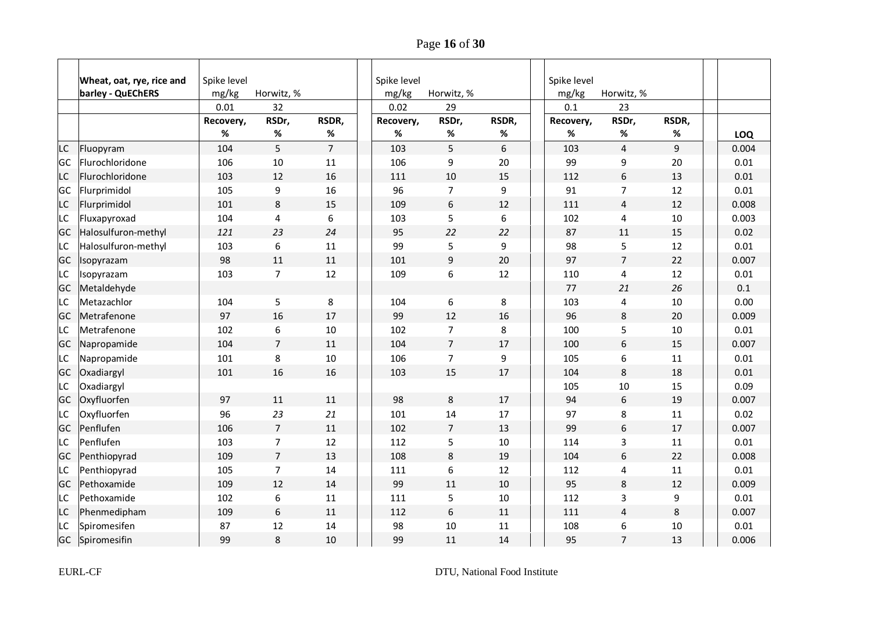Page **16** of **30**

|           | Wheat, oat, rye, rice and | Spike level |                |                | Spike level |                |       | Spike level |                |       |            |
|-----------|---------------------------|-------------|----------------|----------------|-------------|----------------|-------|-------------|----------------|-------|------------|
|           | barley - QuEChERS         | mg/kg       | Horwitz, %     |                | mg/kg       | Horwitz, %     |       | mg/kg       | Horwitz, %     |       |            |
|           |                           | 0.01        | 32             |                | 0.02        | 29             |       | 0.1         | 23             |       |            |
|           |                           | Recovery,   | RSDr,          | RSDR,          | Recovery,   | RSDr,          | RSDR, | Recovery,   | RSDr,          | RSDR, |            |
|           |                           | %           | %              | %              | %           | %              | %     | %           | %              | %     | <b>LOQ</b> |
| LC        | Fluopyram                 | 104         | 5              | $\overline{7}$ | 103         | 5              | 6     | 103         | 4              | 9     | 0.004      |
| <b>GC</b> | Flurochloridone           | 106         | 10             | 11             | 106         | 9              | 20    | 99          | 9              | 20    | 0.01       |
| <b>LC</b> | Flurochloridone           | 103         | 12             | 16             | 111         | 10             | 15    | 112         | 6              | 13    | 0.01       |
| <b>GC</b> | Flurprimidol              | 105         | 9              | 16             | 96          | $\overline{7}$ | 9     | 91          | $\overline{7}$ | 12    | 0.01       |
| LC        | Flurprimidol              | 101         | 8              | 15             | 109         | 6              | 12    | 111         | 4              | 12    | 0.008      |
| LC        | Fluxapyroxad              | 104         | 4              | 6              | 103         | 5              | 6     | 102         | 4              | 10    | 0.003      |
| GC        | Halosulfuron-methyl       | 121         | 23             | 24             | 95          | 22             | 22    | 87          | 11             | 15    | 0.02       |
| LC        | Halosulfuron-methyl       | 103         | 6              | 11             | 99          | 5              | 9     | 98          | 5              | 12    | 0.01       |
| <b>GC</b> | Isopyrazam                | 98          | 11             | 11             | 101         | 9              | 20    | 97          | $\overline{7}$ | 22    | 0.007      |
| <b>LC</b> | Isopyrazam                | 103         | $\overline{7}$ | 12             | 109         | 6              | 12    | 110         | 4              | 12    | 0.01       |
| <b>GC</b> | Metaldehyde               |             |                |                |             |                |       | 77          | 21             | 26    | 0.1        |
| LC        | Metazachlor               | 104         | 5              | 8              | 104         | 6              | 8     | 103         | 4              | 10    | 0.00       |
| GC        | Metrafenone               | 97          | 16             | 17             | 99          | 12             | 16    | 96          | 8              | 20    | 0.009      |
| LC        | Metrafenone               | 102         | 6              | $10\,$         | 102         | $\overline{7}$ | 8     | 100         | 5              | 10    | 0.01       |
| <b>GC</b> | Napropamide               | 104         | $\overline{7}$ | 11             | 104         | $\overline{7}$ | 17    | 100         | 6              | 15    | 0.007      |
| LC        | Napropamide               | 101         | 8              | 10             | 106         | 7              | 9     | 105         | 6              | 11    | 0.01       |
| <b>GC</b> | Oxadiargyl                | 101         | 16             | 16             | 103         | 15             | 17    | 104         | 8              | 18    | 0.01       |
| LC        | Oxadiargyl                |             |                |                |             |                |       | 105         | $10\,$         | 15    | 0.09       |
| <b>GC</b> | Oxyfluorfen               | 97          | 11             | 11             | 98          | 8              | 17    | 94          | 6              | 19    | 0.007      |
| LC        | Oxyfluorfen               | 96          | 23             | 21             | 101         | 14             | 17    | 97          | 8              | 11    | 0.02       |
| <b>GC</b> | Penflufen                 | 106         | $\overline{7}$ | 11             | 102         | $\overline{7}$ | 13    | 99          | 6              | 17    | 0.007      |
| LC        | Penflufen                 | 103         | 7              | 12             | 112         | 5              | 10    | 114         | 3              | 11    | 0.01       |
| <b>GC</b> | Penthiopyrad              | 109         | $\overline{7}$ | 13             | 108         | 8              | 19    | 104         | 6              | 22    | 0.008      |
| <b>LC</b> | Penthiopyrad              | 105         | $\overline{7}$ | 14             | 111         | 6              | 12    | 112         | 4              | 11    | 0.01       |
| <b>GC</b> | Pethoxamide               | 109         | 12             | 14             | 99          | 11             | 10    | 95          | 8              | 12    | 0.009      |
| LC        | Pethoxamide               | 102         | 6              | 11             | 111         | 5              | 10    | 112         | 3              | 9     | 0.01       |
| LC        | Phenmedipham              | 109         | 6              | 11             | 112         | 6              | 11    | 111         | 4              | 8     | 0.007      |
| LC        | Spiromesifen              | 87          | 12             | 14             | 98          | $10\,$         | 11    | 108         | 6              | 10    | 0.01       |
| <b>GC</b> | Spiromesifin              | 99          | 8              | 10             | 99          | 11             | 14    | 95          | $\overline{7}$ | 13    | 0.006      |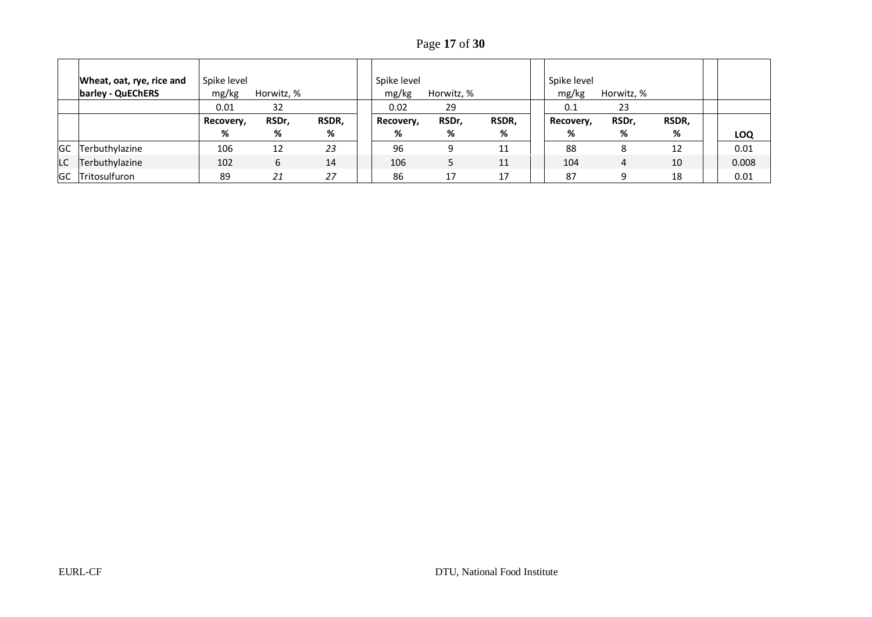Page **17** of **30**

|           | Wheat, oat, rye, rice and | Spike level |            |       | Spike level |            |       | Spike level |            |       |       |
|-----------|---------------------------|-------------|------------|-------|-------------|------------|-------|-------------|------------|-------|-------|
|           | barley - QuEChERS         | mg/kg       | Horwitz, % |       | mg/kg       | Horwitz, % |       | mg/kg       | Horwitz, % |       |       |
|           |                           | 0.01        | 32         |       | 0.02        | 29         |       | 0.1         | 23         |       |       |
|           |                           | Recovery,   | RSDr,      | RSDR, | Recovery,   | RSDr,      | RSDR, | Recovery,   | RSDr,      | RSDR, |       |
|           |                           | %           | %          | %     | %           | %          | %     | %           | %          | %     | LOQ   |
| <b>GC</b> | Terbuthylazine            | 106         | 12         | 23    | 96          |            | 11    | 88          |            | 12    | 0.01  |
| LC        | Terbuthylazine            | 102         | 6          | 14    | 106         |            | 11    | 104         | 4          | 10    | 0.008 |
|           | <b>GC</b> Tritosulfuron   | 89          | 21         | 27    | 86          | 17         | 17    | 87          |            | 18    | 0.01  |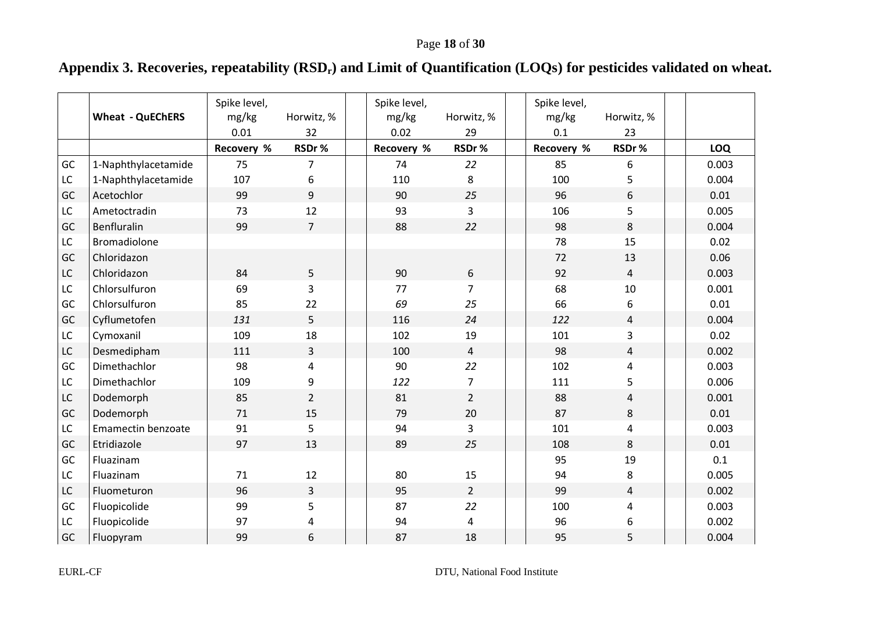# **Appendix 3. Recoveries, repeatability (RSDr) and Limit of Quantification (LOQs) for pesticides validated on wheat.**

<span id="page-17-0"></span>

|    | <b>Wheat - QuEChERS</b> | Spike level,<br>mg/kg<br>0.01 | Horwitz, %<br>32 | Spike level,<br>mg/kg<br>0.02 | Horwitz, %<br>29 | Spike level,<br>mg/kg<br>0.1 | Horwitz, %<br>23 |            |
|----|-------------------------|-------------------------------|------------------|-------------------------------|------------------|------------------------------|------------------|------------|
|    |                         | Recovery %                    | RSDr%            | Recovery %                    | RSDr%            | Recovery %                   | RSDr%            | <b>LOQ</b> |
| GC | 1-Naphthylacetamide     | 75                            | 7                | 74                            | 22               | 85                           | 6                | 0.003      |
| LC | 1-Naphthylacetamide     | 107                           | 6                | 110                           | 8                | 100                          | 5                | 0.004      |
| GC | Acetochlor              | 99                            | 9                | 90                            | 25               | 96                           | 6                | 0.01       |
| LC | Ametoctradin            | 73                            | 12               | 93                            | 3                | 106                          | 5                | 0.005      |
| GC | Benfluralin             | 99                            | $\overline{7}$   | 88                            | 22               | 98                           | 8                | 0.004      |
| LC | Bromadiolone            |                               |                  |                               |                  | 78                           | 15               | 0.02       |
| GC | Chloridazon             |                               |                  |                               |                  | 72                           | 13               | 0.06       |
| LC | Chloridazon             | 84                            | 5                | 90                            | 6                | 92                           | $\overline{4}$   | 0.003      |
| LC | Chlorsulfuron           | 69                            | 3                | 77                            | $\overline{7}$   | 68                           | 10               | 0.001      |
| GC | Chlorsulfuron           | 85                            | 22               | 69                            | 25               | 66                           | 6                | 0.01       |
| GC | Cyflumetofen            | 131                           | 5                | 116                           | 24               | 122                          | 4                | 0.004      |
| LC | Cymoxanil               | 109                           | 18               | 102                           | 19               | 101                          | 3                | 0.02       |
| LC | Desmedipham             | 111                           | 3                | 100                           | $\overline{4}$   | 98                           | $\overline{4}$   | 0.002      |
| GC | Dimethachlor            | 98                            | 4                | 90                            | 22               | 102                          | 4                | 0.003      |
| LC | Dimethachlor            | 109                           | 9                | 122                           | $\overline{7}$   | 111                          | 5                | 0.006      |
| LC | Dodemorph               | 85                            | $\overline{2}$   | 81                            | $\overline{2}$   | 88                           | 4                | 0.001      |
| GC | Dodemorph               | 71                            | 15               | 79                            | 20               | 87                           | 8                | 0.01       |
| LC | Emamectin benzoate      | 91                            | 5                | 94                            | 3                | 101                          | 4                | 0.003      |
| GC | Etridiazole             | 97                            | 13               | 89                            | 25               | 108                          | 8                | 0.01       |
| GC | Fluazinam               |                               |                  |                               |                  | 95                           | 19               | 0.1        |
| LC | Fluazinam               | 71                            | 12               | 80                            | 15               | 94                           | 8                | 0.005      |
| LC | Fluometuron             | 96                            | 3                | 95                            | $\overline{2}$   | 99                           | $\overline{4}$   | 0.002      |
| GC | Fluopicolide            | 99                            | 5                | 87                            | 22               | 100                          | 4                | 0.003      |
| LC | Fluopicolide            | 97                            | 4                | 94                            | 4                | 96                           | 6                | 0.002      |
| GC | Fluopyram               | 99                            | 6                | 87                            | 18               | 95                           | 5                | 0.004      |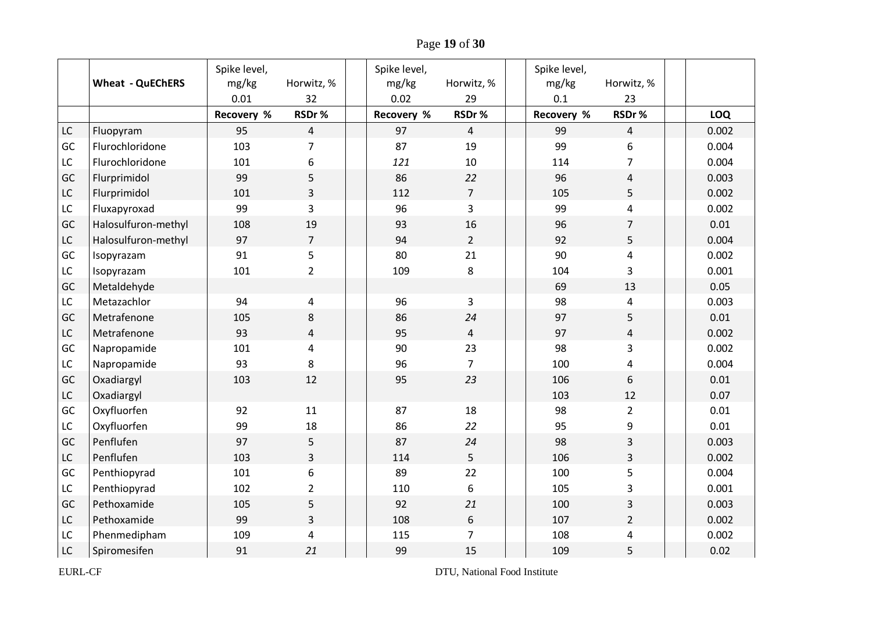Page **19** of **30**

|               | <b>Wheat - QuEChERS</b> | Spike level,<br>mg/kg<br>0.01 | Horwitz, %<br>32 | Spike level,<br>mg/kg<br>0.02 | Horwitz, %<br>29 | Spike level,<br>mg/kg<br>0.1 | Horwitz, %<br>23        |            |
|---------------|-------------------------|-------------------------------|------------------|-------------------------------|------------------|------------------------------|-------------------------|------------|
|               |                         | <b>Recovery %</b>             | RSDr%            | Recovery %                    | RSDr%            | Recovery %                   | RSDr%                   | <b>LOQ</b> |
| $\mathsf{LC}$ | Fluopyram               | 95                            | $\overline{4}$   | 97                            | $\overline{4}$   | 99                           | $\overline{4}$          | 0.002      |
| GC            | Flurochloridone         | 103                           | $\overline{7}$   | 87                            | 19               | 99                           | 6                       | 0.004      |
| LC            | Flurochloridone         | 101                           | 6                | 121                           | $10\,$           | 114                          | $\overline{7}$          | 0.004      |
| GC            | Flurprimidol            | 99                            | 5                | 86                            | 22               | 96                           | $\overline{\mathbf{4}}$ | 0.003      |
| LC            | Flurprimidol            | 101                           | $\overline{3}$   | 112                           | $\overline{7}$   | 105                          | 5                       | 0.002      |
| LC            | Fluxapyroxad            | 99                            | $\overline{3}$   | 96                            | 3                | 99                           | 4                       | 0.002      |
| GC            | Halosulfuron-methyl     | 108                           | 19               | 93                            | 16               | 96                           | $\overline{7}$          | 0.01       |
| $\mathsf{LC}$ | Halosulfuron-methyl     | 97                            | $\overline{7}$   | 94                            | $2^{\circ}$      | 92                           | 5                       | 0.004      |
| GC            | Isopyrazam              | 91                            | 5                | 80                            | 21               | 90                           | 4                       | 0.002      |
| LC            | Isopyrazam              | 101                           | $\overline{2}$   | 109                           | 8                | 104                          | 3                       | 0.001      |
| GC            | Metaldehyde             |                               |                  |                               |                  | 69                           | 13                      | 0.05       |
| LC            | Metazachlor             | 94                            | 4                | 96                            | 3                | 98                           | 4                       | 0.003      |
| GC            | Metrafenone             | 105                           | 8                | 86                            | 24               | 97                           | 5                       | 0.01       |
| $\mathsf{LC}$ | Metrafenone             | 93                            | 4                | 95                            | $\overline{4}$   | 97                           | $\overline{4}$          | 0.002      |
| GC            | Napropamide             | 101                           | 4                | 90                            | 23               | 98                           | 3                       | 0.002      |
| LC            | Napropamide             | 93                            | 8                | 96                            | $\overline{7}$   | 100                          | 4                       | 0.004      |
| GC            | Oxadiargyl              | 103                           | 12               | 95                            | 23               | 106                          | 6                       | 0.01       |
| ${\sf LC}$    | Oxadiargyl              |                               |                  |                               |                  | 103                          | 12                      | 0.07       |
| GC            | Oxyfluorfen             | 92                            | 11               | 87                            | 18               | 98                           | $\overline{2}$          | 0.01       |
| LC            | Oxyfluorfen             | 99                            | 18               | 86                            | 22               | 95                           | 9                       | 0.01       |
| GC            | Penflufen               | 97                            | 5                | 87                            | 24               | 98                           | 3                       | 0.003      |
| LC            | Penflufen               | 103                           | $\overline{3}$   | 114                           | 5                | 106                          | $\overline{3}$          | 0.002      |
| GC            | Penthiopyrad            | 101                           | 6                | 89                            | 22               | 100                          | 5                       | 0.004      |
| $\mathsf{LC}$ | Penthiopyrad            | 102                           | $\overline{2}$   | 110                           | 6                | 105                          | 3                       | 0.001      |
| GC            | Pethoxamide             | 105                           | 5                | 92                            | 21               | 100                          | 3                       | 0.003      |
| $\mathsf{LC}$ | Pethoxamide             | 99                            | $\overline{3}$   | 108                           | 6                | 107                          | $\overline{2}$          | 0.002      |
| LC            | Phenmedipham            | 109                           | $\overline{4}$   | 115                           | $\overline{7}$   | 108                          | 4                       | 0.002      |
| LC            | Spiromesifen            | 91                            | 21               | 99                            | 15               | 109                          | 5                       | 0.02       |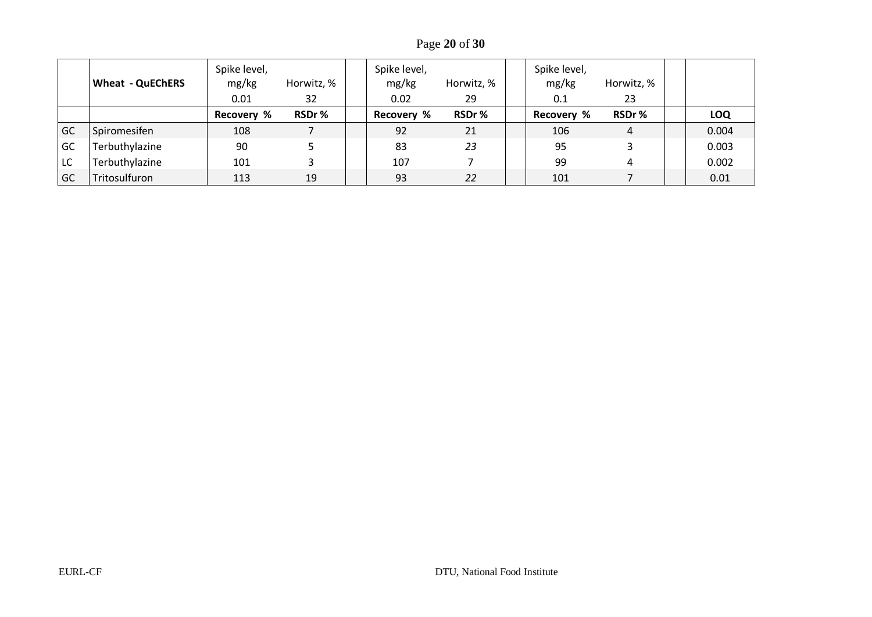Page **20** of **30**

|    | <b>Wheat - QuEChERS</b> | Spike level,<br>mg/kg<br>0.01 | Horwitz, %<br>32 | Spike level,<br>mg/kg<br>0.02 | Horwitz, %<br>29 | Spike level,<br>mg/kg<br>0.1 | Horwitz, %<br>23 |            |
|----|-------------------------|-------------------------------|------------------|-------------------------------|------------------|------------------------------|------------------|------------|
|    |                         | <b>Recovery %</b>             | RSDr%            | <b>Recovery %</b>             | RSDr%            | Recovery %                   | RSDr%            | <b>LOQ</b> |
| GC | Spiromesifen            | 108                           |                  | 92                            | 21               | 106                          | 4                | 0.004      |
| GC | Terbuthylazine          | 90                            |                  | 83                            | 23               | 95                           |                  | 0.003      |
| LC | Terbuthylazine          | 101                           |                  | 107                           |                  | 99                           | 4                | 0.002      |
| GC | Tritosulfuron           | 113                           | 19               | 93                            | 22               | 101                          |                  | 0.01       |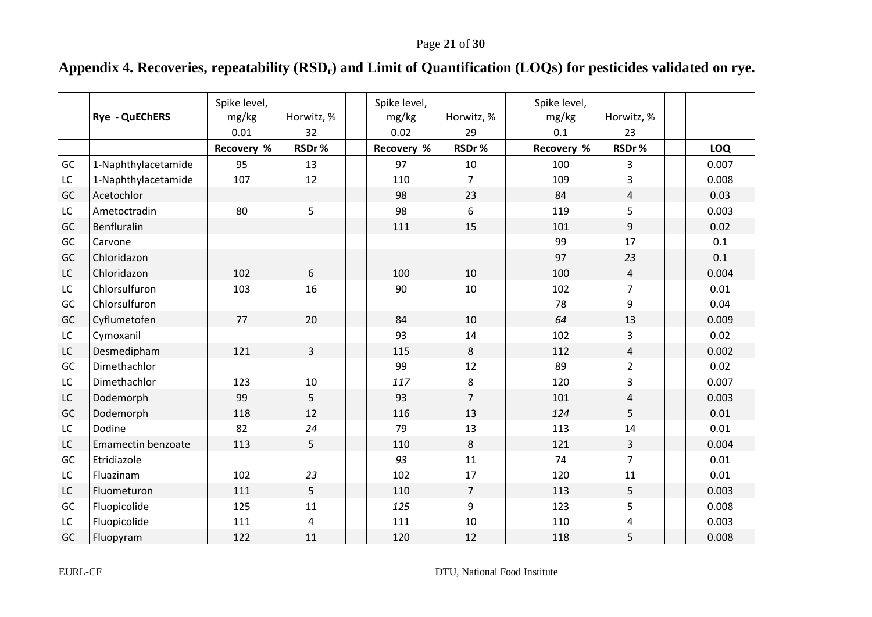# **Appendix 4. Recoveries, repeatability (RSDr) and Limit of Quantification (LOQs) for pesticides validated on rye.**

<span id="page-20-0"></span>

|    | Rye - QuEChERS      | Spike level,<br>mg/kg<br>0.01 | Horwitz, %<br>32 | Spike level,<br>mg/kg<br>0.02 | Horwitz, %<br>29 | Spike level,<br>mg/kg<br>0.1 | Horwitz, %<br>23 |       |
|----|---------------------|-------------------------------|------------------|-------------------------------|------------------|------------------------------|------------------|-------|
|    |                     | Recovery %                    | RSDr%            | Recovery %                    | RSDr%            | Recovery %                   | RSDr%            | LOQ   |
| GC | 1-Naphthylacetamide | 95                            | 13               | 97                            | 10               | 100                          | 3                | 0.007 |
| LC | 1-Naphthylacetamide | 107                           | 12               | 110                           | $\overline{7}$   | 109                          | 3                | 0.008 |
| GC | Acetochlor          |                               |                  | 98                            | 23               | 84                           | $\overline{4}$   | 0.03  |
| LC | Ametoctradin        | 80                            | 5                | 98                            | 6                | 119                          | 5                | 0.003 |
| GC | Benfluralin         |                               |                  | 111                           | 15               | 101                          | 9                | 0.02  |
| GC | Carvone             |                               |                  |                               |                  | 99                           | 17               | 0.1   |
| GC | Chloridazon         |                               |                  |                               |                  | 97                           | 23               | 0.1   |
| LC | Chloridazon         | 102                           | 6                | 100                           | 10               | 100                          | $\overline{4}$   | 0.004 |
| LC | Chlorsulfuron       | 103                           | 16               | 90                            | 10               | 102                          | $\overline{7}$   | 0.01  |
| GC | Chlorsulfuron       |                               |                  |                               |                  | 78                           | 9                | 0.04  |
| GC | Cyflumetofen        | 77                            | 20               | 84                            | 10               | 64                           | 13               | 0.009 |
| LC | Cymoxanil           |                               |                  | 93                            | 14               | 102                          | 3                | 0.02  |
| LC | Desmedipham         | 121                           | 3                | 115                           | 8                | 112                          | $\overline{4}$   | 0.002 |
| GC | Dimethachlor        |                               |                  | 99                            | 12               | 89                           | $\overline{2}$   | 0.02  |
| LC | Dimethachlor        | 123                           | 10               | 117                           | 8                | 120                          | 3                | 0.007 |
| LC | Dodemorph           | 99                            | 5                | 93                            | $\overline{7}$   | 101                          | 4                | 0.003 |
| GC | Dodemorph           | 118                           | 12               | 116                           | 13               | 124                          | 5                | 0.01  |
| LC | Dodine              | 82                            | 24               | 79                            | 13               | 113                          | 14               | 0.01  |
| LC | Emamectin benzoate  | 113                           | 5                | 110                           | 8                | 121                          | $\mathbf{3}$     | 0.004 |
| GC | Etridiazole         |                               |                  | 93                            | 11               | 74                           | $\overline{7}$   | 0.01  |
| LC | Fluazinam           | 102                           | 23               | 102                           | 17               | 120                          | 11               | 0.01  |
| LC | Fluometuron         | 111                           | 5                | 110                           | $\overline{7}$   | 113                          | 5                | 0.003 |
| GC | Fluopicolide        | 125                           | 11               | 125                           | 9                | 123                          | 5                | 0.008 |
| LC | Fluopicolide        | 111                           | 4                | 111                           | 10               | 110                          | 4                | 0.003 |
| GC | Fluopyram           | 122                           | 11               | 120                           | 12               | 118                          | 5                | 0.008 |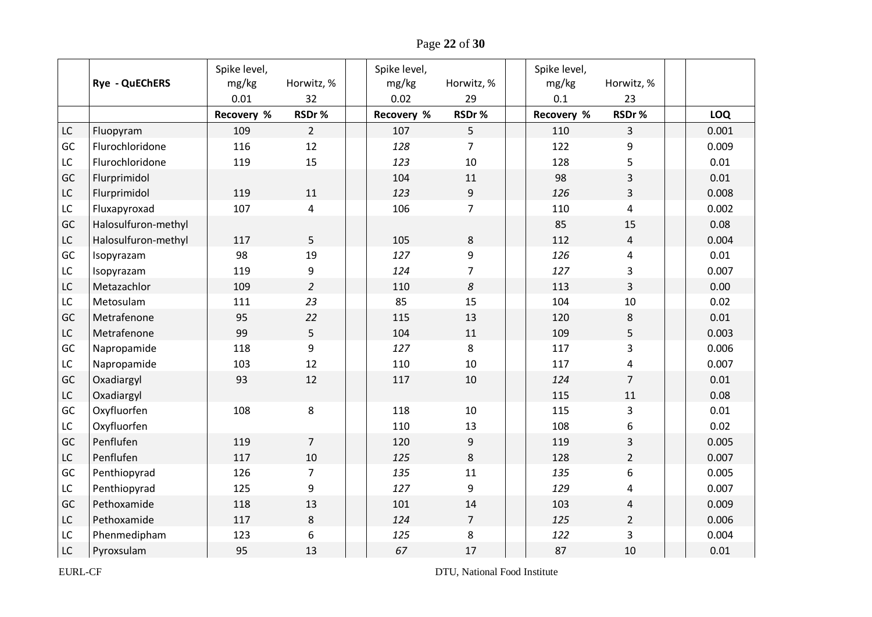Page **22** of **30**

|               | <b>Rye - QuEChERS</b> | Spike level,<br>mg/kg<br>0.01 | Horwitz, %<br>32 | Spike level,<br>mg/kg<br>0.02 | Horwitz, %<br>29 | Spike level,<br>mg/kg<br>0.1 | Horwitz, %<br>23 |            |
|---------------|-----------------------|-------------------------------|------------------|-------------------------------|------------------|------------------------------|------------------|------------|
|               |                       | <b>Recovery %</b>             | RSDr%            | <b>Recovery %</b>             | RSDr%            | Recovery %                   | RSDr%            | <b>LOQ</b> |
| $\mathsf{LC}$ | Fluopyram             | 109                           | $\overline{2}$   | 107                           | 5                | 110                          | $\overline{3}$   | 0.001      |
| GC            | Flurochloridone       | 116                           | 12               | 128                           | $\overline{7}$   | 122                          | 9                | 0.009      |
| LC            | Flurochloridone       | 119                           | 15               | 123                           | 10               | 128                          | 5                | 0.01       |
| GC            | Flurprimidol          |                               |                  | 104                           | 11               | 98                           | 3                | 0.01       |
| LC            | Flurprimidol          | 119                           | 11               | 123                           | $\overline{9}$   | 126                          | $\overline{3}$   | 0.008      |
| $\mathsf{LC}$ | Fluxapyroxad          | 107                           | 4                | 106                           | $\overline{7}$   | 110                          | $\overline{4}$   | 0.002      |
| GC            | Halosulfuron-methyl   |                               |                  |                               |                  | 85                           | 15               | 0.08       |
| $\mathsf{LC}$ | Halosulfuron-methyl   | 117                           | 5                | 105                           | 8                | 112                          | $\overline{4}$   | 0.004      |
| GC            | Isopyrazam            | 98                            | 19               | 127                           | 9                | 126                          | 4                | 0.01       |
| LC            | Isopyrazam            | 119                           | 9                | 124                           | $\overline{7}$   | 127                          | 3                | 0.007      |
| LC            | Metazachlor           | 109                           | $\overline{2}$   | 110                           | $\boldsymbol{8}$ | 113                          | $\overline{3}$   | 0.00       |
| LC            | Metosulam             | 111                           | 23               | 85                            | 15               | 104                          | 10               | 0.02       |
| GC            | Metrafenone           | 95                            | 22               | 115                           | 13               | 120                          | 8                | 0.01       |
| $\mathsf{LC}$ | Metrafenone           | 99                            | 5                | 104                           | $11\,$           | 109                          | 5                | 0.003      |
| GC            | Napropamide           | 118                           | 9                | 127                           | 8                | 117                          | 3                | 0.006      |
| LC            | Napropamide           | 103                           | 12               | 110                           | 10               | 117                          | 4                | 0.007      |
| GC            | Oxadiargyl            | 93                            | 12               | 117                           | 10               | 124                          | $\overline{7}$   | 0.01       |
| ${\sf LC}$    | Oxadiargyl            |                               |                  |                               |                  | 115                          | 11               | 0.08       |
| GC            | Oxyfluorfen           | 108                           | 8                | 118                           | 10               | 115                          | 3                | 0.01       |
| $\mathsf{LC}$ | Oxyfluorfen           |                               |                  | 110                           | 13               | 108                          | 6                | 0.02       |
| GC            | Penflufen             | 119                           | $\overline{7}$   | 120                           | 9                | 119                          | 3                | 0.005      |
| LC            | Penflufen             | 117                           | 10               | 125                           | 8                | 128                          | $\overline{2}$   | 0.007      |
| GC            | Penthiopyrad          | 126                           | $\overline{7}$   | 135                           | 11               | 135                          | 6                | 0.005      |
| LC            | Penthiopyrad          | 125                           | 9                | 127                           | 9                | 129                          | 4                | 0.007      |
| GC            | Pethoxamide           | 118                           | 13               | 101                           | 14               | 103                          | $\overline{4}$   | 0.009      |
| ${\sf LC}$    | Pethoxamide           | 117                           | 8                | 124                           | $\overline{7}$   | 125                          | $\overline{2}$   | 0.006      |
| LC            | Phenmedipham          | 123                           | 6                | 125                           | 8                | 122                          | $\overline{3}$   | 0.004      |
| LC            | Pyroxsulam            | 95                            | 13               | 67                            | 17               | 87                           | 10               | 0.01       |

EURL-CF DTU, National Food Institute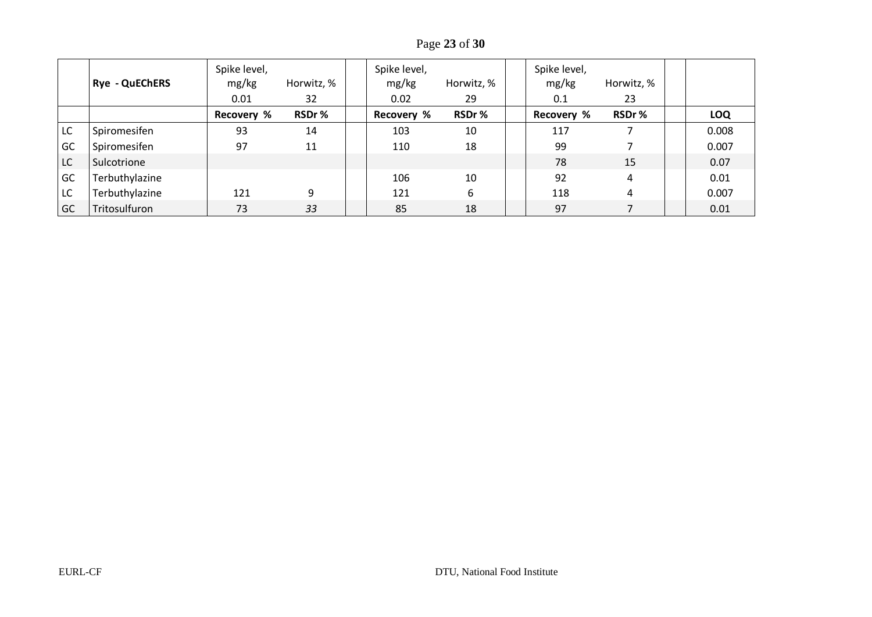Page **23** of **30**

|    | <b>Rye - QuEChERS</b> | Spike level,<br>mg/kg<br>0.01 | Horwitz, %<br>32 | Spike level,<br>mg/kg<br>0.02 | Horwitz, %<br>29 | Spike level,<br>mg/kg<br>0.1 | Horwitz, %<br>23 |            |
|----|-----------------------|-------------------------------|------------------|-------------------------------|------------------|------------------------------|------------------|------------|
|    |                       | <b>Recovery %</b>             | RSDr%            | <b>Recovery %</b>             | RSDr%            | <b>Recovery %</b>            | RSDr%            | <b>LOQ</b> |
| LC | Spiromesifen          | 93                            | 14               | 103                           | 10               | 117                          |                  | 0.008      |
| GC | Spiromesifen          | 97                            | 11               | 110                           | 18               | 99                           |                  | 0.007      |
| LC | Sulcotrione           |                               |                  |                               |                  | 78                           | 15               | 0.07       |
| GC | Terbuthylazine        |                               |                  | 106                           | 10               | 92                           | 4                | 0.01       |
| LC | Terbuthylazine        | 121                           | 9                | 121                           | 6                | 118                          | 4                | 0.007      |
| GC | Tritosulfuron         | 73                            | 33               | 85                            | 18               | 97                           |                  | 0.01       |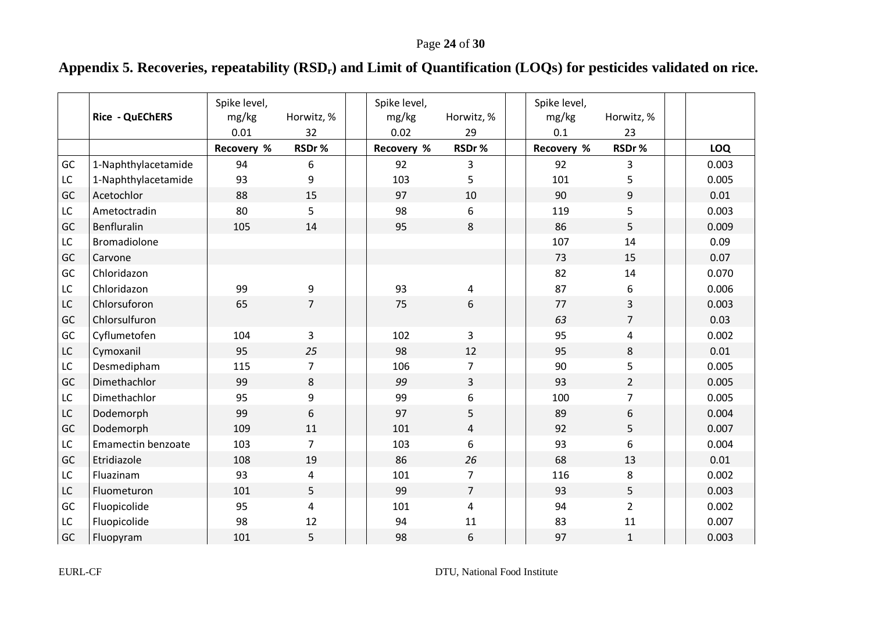# **Appendix 5. Recoveries, repeatability (RSDr) and Limit of Quantification (LOQs) for pesticides validated on rice.**

<span id="page-23-0"></span>

|    | Rice - QuEChERS           | Spike level,<br>mg/kg<br>0.01 | Horwitz, %<br>32 | Spike level,<br>mg/kg<br>0.02 | Horwitz, %<br>29 | Spike level,<br>mg/kg<br>0.1 | Horwitz, %<br>23 |            |
|----|---------------------------|-------------------------------|------------------|-------------------------------|------------------|------------------------------|------------------|------------|
|    |                           | Recovery %                    | RSDr%            | Recovery %                    | RSDr%            | Recovery %                   | RSDr%            | <b>LOQ</b> |
| GC | 1-Naphthylacetamide       | 94                            | 6                | 92                            | 3                | 92                           | 3                | 0.003      |
| LC | 1-Naphthylacetamide       | 93                            | 9                | 103                           | 5                | 101                          | 5                | 0.005      |
| GC | Acetochlor                | 88                            | 15               | 97                            | 10               | 90                           | 9                | 0.01       |
| LC | Ametoctradin              | 80                            | 5                | 98                            | 6                | 119                          | 5                | 0.003      |
| GC | Benfluralin               | 105                           | 14               | 95                            | 8                | 86                           | 5                | 0.009      |
| LC | <b>Bromadiolone</b>       |                               |                  |                               |                  | 107                          | 14               | 0.09       |
| GC | Carvone                   |                               |                  |                               |                  | 73                           | 15               | 0.07       |
| GC | Chloridazon               |                               |                  |                               |                  | 82                           | 14               | 0.070      |
| LC | Chloridazon               | 99                            | 9                | 93                            | 4                | 87                           | 6                | 0.006      |
| LC | Chlorsuforon              | 65                            | $\overline{7}$   | 75                            | 6                | 77                           | 3                | 0.003      |
| GC | Chlorsulfuron             |                               |                  |                               |                  | 63                           | $\overline{7}$   | 0.03       |
| GC | Cyflumetofen              | 104                           | 3                | 102                           | 3                | 95                           | 4                | 0.002      |
| LC | Cymoxanil                 | 95                            | 25               | 98                            | 12               | 95                           | 8                | 0.01       |
| LC | Desmedipham               | 115                           | 7                | 106                           | $\overline{7}$   | 90                           | 5                | 0.005      |
| GC | Dimethachlor              | 99                            | 8                | 99                            | $\overline{3}$   | 93                           | $\overline{2}$   | 0.005      |
| LC | Dimethachlor              | 95                            | 9                | 99                            | 6                | 100                          | $\overline{7}$   | 0.005      |
| LC | Dodemorph                 | 99                            | 6                | 97                            | 5                | 89                           | 6                | 0.004      |
| GC | Dodemorph                 | 109                           | 11               | 101                           | 4                | 92                           | 5                | 0.007      |
| LC | <b>Emamectin benzoate</b> | 103                           | $\overline{7}$   | 103                           | 6                | 93                           | 6                | 0.004      |
| GC | Etridiazole               | 108                           | 19               | 86                            | 26               | 68                           | 13               | 0.01       |
| LC | Fluazinam                 | 93                            | 4                | 101                           | $\overline{7}$   | 116                          | 8                | 0.002      |
| LC | Fluometuron               | 101                           | 5                | 99                            | $\overline{7}$   | 93                           | 5                | 0.003      |
| GC | Fluopicolide              | 95                            | 4                | 101                           | 4                | 94                           | $\overline{2}$   | 0.002      |
| LC | Fluopicolide              | 98                            | 12               | 94                            | 11               | 83                           | 11               | 0.007      |
| GC | Fluopyram                 | 101                           | 5                | 98                            | 6                | 97                           | $\mathbf{1}$     | 0.003      |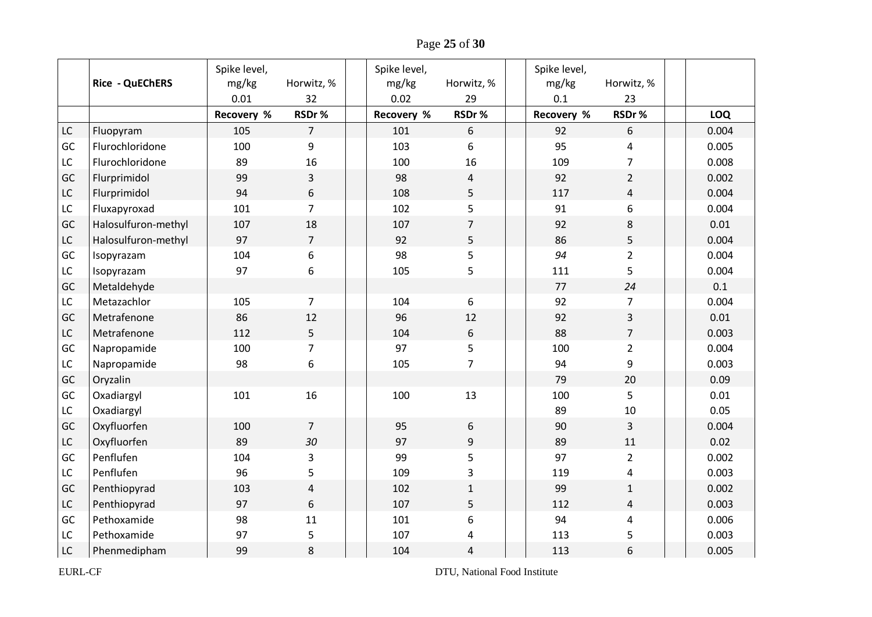Page **25** of **30**

|               | <b>Rice - QuEChERS</b> | Spike level,<br>mg/kg<br>0.01 | Horwitz, %<br>32 | Spike level,<br>mg/kg<br>0.02 | Horwitz, %<br>29        | Spike level,<br>mg/kg<br>0.1 | Horwitz, %<br>23 |            |
|---------------|------------------------|-------------------------------|------------------|-------------------------------|-------------------------|------------------------------|------------------|------------|
|               |                        | <b>Recovery %</b>             | RSDr%            | Recovery %                    | RSDr%                   | Recovery %                   | RSDr%            | <b>LOQ</b> |
| LC            | Fluopyram              | 105                           | $\overline{7}$   | 101                           | 6                       | 92                           | 6                | 0.004      |
| GC            | Flurochloridone        | 100                           | 9                | 103                           | 6                       | 95                           | 4                | 0.005      |
| LC            | Flurochloridone        | 89                            | 16               | 100                           | 16                      | 109                          | $\overline{7}$   | 0.008      |
| GC            | Flurprimidol           | 99                            | 3                | 98                            | $\overline{\mathbf{r}}$ | 92                           | $\overline{2}$   | 0.002      |
| LC            | Flurprimidol           | 94                            | 6                | 108                           | 5                       | 117                          | 4                | 0.004      |
| LC            | Fluxapyroxad           | 101                           | $\overline{7}$   | 102                           | 5                       | 91                           | 6                | 0.004      |
| GC            | Halosulfuron-methyl    | 107                           | 18               | 107                           | $\overline{7}$          | 92                           | 8                | 0.01       |
| LC            | Halosulfuron-methyl    | 97                            | $\overline{7}$   | 92                            | 5                       | 86                           | 5                | 0.004      |
| GC            | Isopyrazam             | 104                           | 6                | 98                            | 5                       | 94                           | $\overline{2}$   | 0.004      |
| LC            | Isopyrazam             | 97                            | 6                | 105                           | 5                       | 111                          | 5                | 0.004      |
| GC            | Metaldehyde            |                               |                  |                               |                         | 77                           | 24               | 0.1        |
| LC            | Metazachlor            | 105                           | $\overline{7}$   | 104                           | 6                       | 92                           | $\overline{7}$   | 0.004      |
| GC            | Metrafenone            | 86                            | 12               | 96                            | 12                      | 92                           | 3                | 0.01       |
| $\mathsf{LC}$ | Metrafenone            | 112                           | 5                | 104                           | 6                       | 88                           | $\overline{7}$   | 0.003      |
| GC            | Napropamide            | 100                           | $\overline{7}$   | 97                            | 5                       | 100                          | $\overline{2}$   | 0.004      |
| LC            | Napropamide            | 98                            | 6                | 105                           | $\overline{7}$          | 94                           | 9                | 0.003      |
| GC            | Oryzalin               |                               |                  |                               |                         | 79                           | 20               | 0.09       |
| GC            | Oxadiargyl             | 101                           | 16               | 100                           | 13                      | 100                          | 5                | 0.01       |
| LC            | Oxadiargyl             |                               |                  |                               |                         | 89                           | 10               | 0.05       |
| GC            | Oxyfluorfen            | 100                           | $\overline{7}$   | 95                            | 6                       | 90                           | $\overline{3}$   | 0.004      |
| LC            | Oxyfluorfen            | 89                            | 30               | 97                            | 9                       | 89                           | 11               | 0.02       |
| GC            | Penflufen              | 104                           | 3                | 99                            | 5                       | 97                           | $\overline{2}$   | 0.002      |
| LC            | Penflufen              | 96                            | 5                | 109                           | 3                       | 119                          | 4                | 0.003      |
| GC            | Penthiopyrad           | 103                           | 4                | 102                           | $\mathbf{1}$            | 99                           | $\mathbf{1}$     | 0.002      |
| LC            | Penthiopyrad           | 97                            | 6                | 107                           | 5                       | 112                          | 4                | 0.003      |
| GC            | Pethoxamide            | 98                            | 11               | 101                           | 6                       | 94                           | 4                | 0.006      |
| LC            | Pethoxamide            | 97                            | 5                | 107                           | 4                       | 113                          | 5                | 0.003      |
| $\mathsf{LC}$ | Phenmedipham           | 99                            | 8                | 104                           | 4                       | 113                          | 6                | 0.005      |

EURL-CF DTU, National Food Institute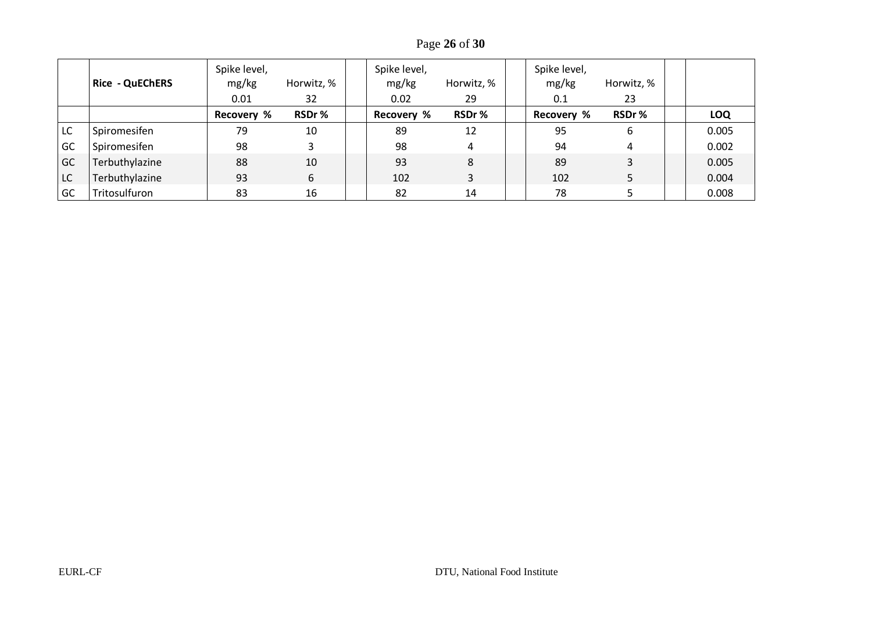Page **26** of **30**

|    | <b>Rice - QuEChERS</b> | Spike level,<br>mg/kg<br>0.01 | Horwitz, %<br>32 | Spike level,<br>mg/kg<br>0.02 | Horwitz, %<br>29 | Spike level,<br>mg/kg<br>0.1 | Horwitz, %<br>23 |       |
|----|------------------------|-------------------------------|------------------|-------------------------------|------------------|------------------------------|------------------|-------|
|    |                        | <b>Recovery %</b>             | RSDr%            | <b>Recovery %</b>             | RSDr%            | Recovery %                   | RSDr%            | LOQ   |
| LC | Spiromesifen           | 79                            | 10               | 89                            | 12               | 95                           | 6                | 0.005 |
| GC | Spiromesifen           | 98                            |                  | 98                            | 4                | 94                           |                  | 0.002 |
| GC | Terbuthylazine         | 88                            | 10               | 93                            | 8                | 89                           |                  | 0.005 |
| LC | Terbuthylazine         | 93                            | 6                | 102                           | 3                | 102                          |                  | 0.004 |
| GC | Tritosulfuron          | 83                            | 16               | 82                            | 14               | 78                           |                  | 0.008 |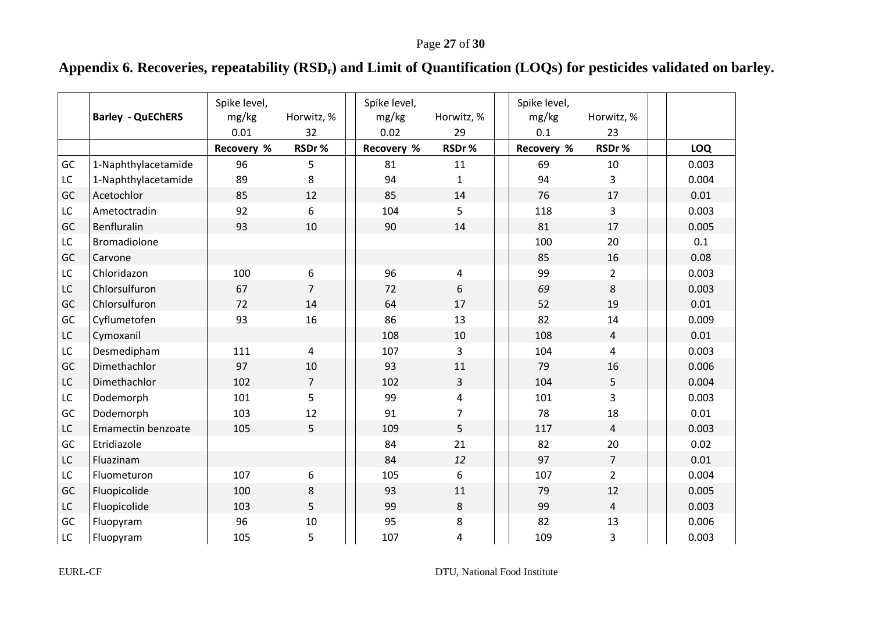# **Appendix 6. Recoveries, repeatability (RSDr) and Limit of Quantification (LOQs) for pesticides validated on barley.**

<span id="page-26-0"></span>

|    | <b>Barley - QuEChERS</b> | Spike level,<br>mg/kg<br>0.01 | Horwitz, %<br>32 | Spike level,<br>mg/kg<br>0.02 | Horwitz, %<br>29 | Spike level,<br>mg/kg<br>0.1 | Horwitz, %<br>23 |            |
|----|--------------------------|-------------------------------|------------------|-------------------------------|------------------|------------------------------|------------------|------------|
|    |                          | Recovery %                    | RSDr%            | Recovery %                    | RSDr%            | Recovery %                   | RSDr%            | <b>LOQ</b> |
| GC | 1-Naphthylacetamide      | 96                            | 5                | 81                            | 11               | 69                           | 10               | 0.003      |
| LC | 1-Naphthylacetamide      | 89                            | 8                | 94                            | 1                | 94                           | 3                | 0.004      |
| GC | Acetochlor               | 85                            | 12               | 85                            | 14               | 76                           | 17               | 0.01       |
| LC | Ametoctradin             | 92                            | 6                | 104                           | 5                | 118                          | 3                | 0.003      |
| GC | Benfluralin              | 93                            | 10               | 90                            | 14               | 81                           | 17               | 0.005      |
| LC | Bromadiolone             |                               |                  |                               |                  | 100                          | 20               | 0.1        |
| GC | Carvone                  |                               |                  |                               |                  | 85                           | 16               | 0.08       |
| LC | Chloridazon              | 100                           | 6                | 96                            | 4                | 99                           | $\overline{2}$   | 0.003      |
| LC | Chlorsulfuron            | 67                            | $\overline{7}$   | 72                            | 6                | 69                           | 8                | 0.003      |
| GC | Chlorsulfuron            | 72                            | 14               | 64                            | 17               | 52                           | 19               | 0.01       |
| GC | Cyflumetofen             | 93                            | 16               | 86                            | 13               | 82                           | 14               | 0.009      |
| LC | Cymoxanil                |                               |                  | 108                           | 10               | 108                          | $\overline{4}$   | 0.01       |
| LC | Desmedipham              | 111                           | 4                | 107                           | 3                | 104                          | $\overline{4}$   | 0.003      |
| GC | Dimethachlor             | 97                            | 10               | 93                            | 11               | 79                           | 16               | 0.006      |
| LC | Dimethachlor             | 102                           | $\overline{7}$   | 102                           | 3                | 104                          | 5                | 0.004      |
| LC | Dodemorph                | 101                           | 5                | 99                            | 4                | 101                          | $\overline{3}$   | 0.003      |
| GC | Dodemorph                | 103                           | 12               | 91                            | 7                | 78                           | 18               | 0.01       |
| LC | Emamectin benzoate       | 105                           | 5                | 109                           | 5                | 117                          | $\overline{4}$   | 0.003      |
| GC | Etridiazole              |                               |                  | 84                            | 21               | 82                           | 20               | 0.02       |
| LC | Fluazinam                |                               |                  | 84                            | 12               | 97                           | $\overline{7}$   | 0.01       |
| LC | Fluometuron              | 107                           | 6                | 105                           | 6                | 107                          | $\overline{2}$   | 0.004      |
| GC | Fluopicolide             | 100                           | 8                | 93                            | 11               | 79                           | 12               | 0.005      |
| LC | Fluopicolide             | 103                           | 5                | 99                            | 8                | 99                           | $\overline{4}$   | 0.003      |
| GC | Fluopyram                | 96                            | 10               | 95                            | 8                | 82                           | 13               | 0.006      |
| LC | Fluopyram                | 105                           | 5                | 107                           | 4                | 109                          | 3                | 0.003      |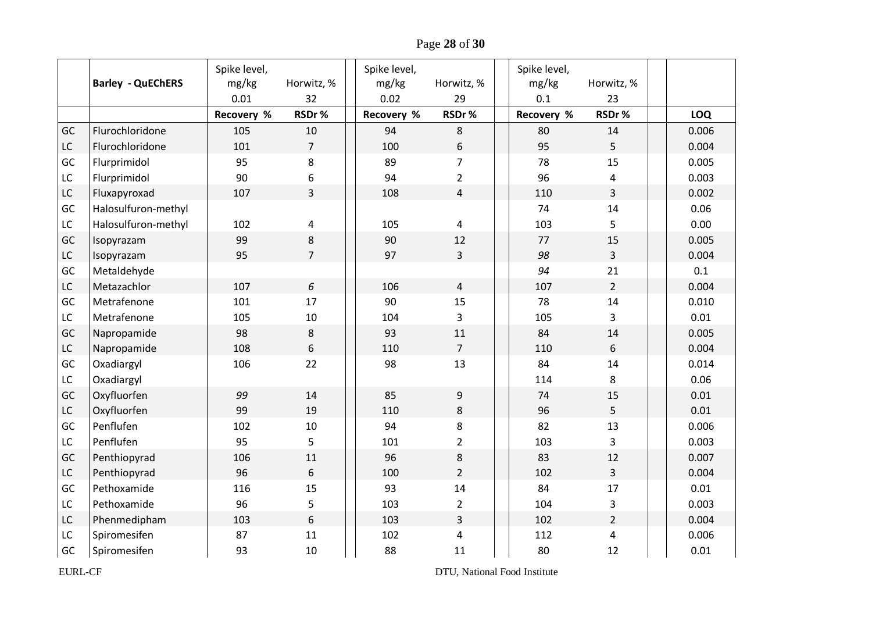Page **28** of **30**

|               |                          | Spike level, |                | Spike level, |                | Spike level,      |                         |       |
|---------------|--------------------------|--------------|----------------|--------------|----------------|-------------------|-------------------------|-------|
|               | <b>Barley - QuEChERS</b> | mg/kg        | Horwitz, %     | mg/kg        | Horwitz, %     | mg/kg             | Horwitz, %              |       |
|               |                          | 0.01         | 32             | 0.02         | 29             | 0.1               | 23                      |       |
|               |                          | Recovery %   | RSDr%          | Recovery %   | RSDr%          | <b>Recovery %</b> | RSDr%                   | LOQ   |
| GC            | Flurochloridone          | 105          | 10             | 94           | 8              | 80                | 14                      | 0.006 |
| $\mathsf{LC}$ | Flurochloridone          | 101          | $\overline{7}$ | 100          | 6              | 95                | 5                       | 0.004 |
| GC            | Flurprimidol             | 95           | 8              | 89           | $\overline{7}$ | 78                | 15                      | 0.005 |
| LC            | Flurprimidol             | 90           | 6              | 94           | $\overline{2}$ | 96                | 4                       | 0.003 |
| ${\sf LC}$    | Fluxapyroxad             | 107          | $\overline{3}$ | 108          | $\sqrt{4}$     | 110               | $\overline{3}$          | 0.002 |
| GC            | Halosulfuron-methyl      |              |                |              |                | 74                | 14                      | 0.06  |
| LC            | Halosulfuron-methyl      | 102          | 4              | 105          | 4              | 103               | 5                       | 0.00  |
| GC            | Isopyrazam               | 99           | 8              | 90           | 12             | 77                | 15                      | 0.005 |
| LC            | Isopyrazam               | 95           | $\overline{7}$ | 97           | 3              | 98                | 3                       | 0.004 |
| GC            | Metaldehyde              |              |                |              |                | 94                | 21                      | 0.1   |
| $\mathsf{LC}$ | Metazachlor              | 107          | 6              | 106          | $\overline{4}$ | 107               | $\overline{2}$          | 0.004 |
| GC            | Metrafenone              | 101          | 17             | 90           | 15             | 78                | 14                      | 0.010 |
| LC            | Metrafenone              | 105          | $10\,$         | 104          | 3              | 105               | 3                       | 0.01  |
| GC            | Napropamide              | 98           | $\,8$          | 93           | 11             | 84                | 14                      | 0.005 |
| LC            | Napropamide              | 108          | 6              | 110          | 7              | 110               | 6                       | 0.004 |
| GC            | Oxadiargyl               | 106          | 22             | 98           | 13             | 84                | 14                      | 0.014 |
| LC            | Oxadiargyl               |              |                |              |                | 114               | 8                       | 0.06  |
| GC            | Oxyfluorfen              | 99           | 14             | 85           | 9              | 74                | 15                      | 0.01  |
| LC            | Oxyfluorfen              | 99           | 19             | 110          | 8              | 96                | 5                       | 0.01  |
| GC            | Penflufen                | 102          | 10             | 94           | 8              | 82                | 13                      | 0.006 |
| LC            | Penflufen                | 95           | 5              | 101          | $\overline{2}$ | 103               | 3                       | 0.003 |
| GC            | Penthiopyrad             | 106          | 11             | 96           | 8              | 83                | 12                      | 0.007 |
| LC            | Penthiopyrad             | 96           | $6\,$          | 100          | $\overline{2}$ | 102               | $\overline{3}$          | 0.004 |
| GC            | Pethoxamide              | 116          | 15             | 93           | 14             | 84                | 17                      | 0.01  |
| LC            | Pethoxamide              | 96           | 5              | 103          | $\overline{2}$ | 104               | 3                       | 0.003 |
| LC            | Phenmedipham             | 103          | 6              | 103          | 3              | 102               | $\overline{2}$          | 0.004 |
| LC            | Spiromesifen             | 87           | 11             | 102          | 4              | 112               | $\overline{\mathbf{4}}$ | 0.006 |
| GC            | Spiromesifen             | 93           | 10             | 88           | 11             | 80                | 12                      | 0.01  |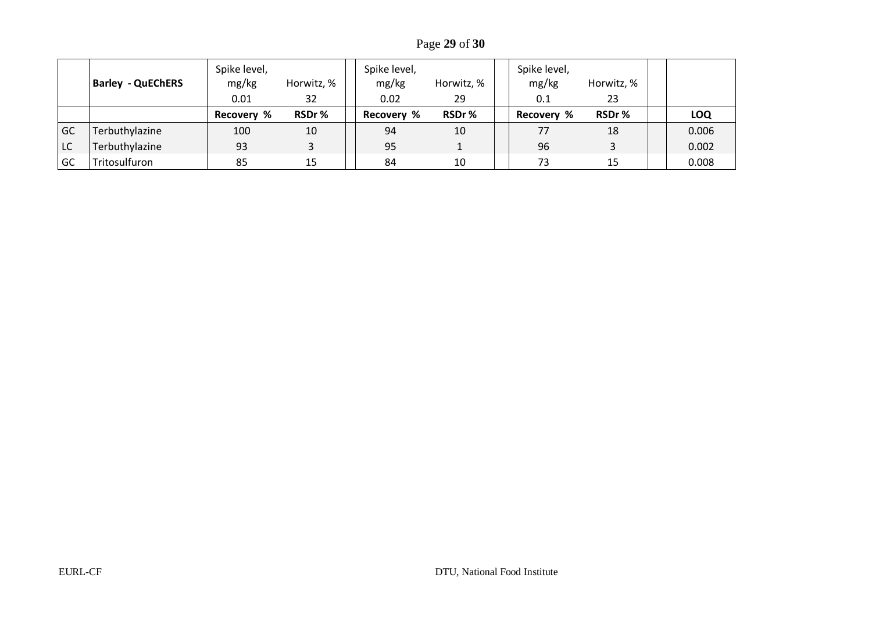Page **29** of **30**

|    | <b>Barley - QuEChERS</b> | Spike level,<br>mg/kg<br>0.01 | Horwitz, %<br>32 | Spike level,<br>mg/kg<br>0.02 | Horwitz, %<br>29 | Spike level,<br>mg/kg<br>0.1 | Horwitz, %<br>23 |            |
|----|--------------------------|-------------------------------|------------------|-------------------------------|------------------|------------------------------|------------------|------------|
|    |                          | <b>Recovery %</b>             | RSDr%            | Recovery %                    | RSDr%            | Recovery %                   | RSDr%            | <b>LOQ</b> |
| GC | Terbuthylazine           | 100                           | 10               | 94                            | 10               | 77                           | 18               | 0.006      |
| LC | Terbuthylazine           | 93                            |                  | 95                            |                  | 96                           |                  | 0.002      |
| GC | Tritosulfuron            | 85                            | 15               | 84                            | 10               | 73                           | 15               | 0.008      |